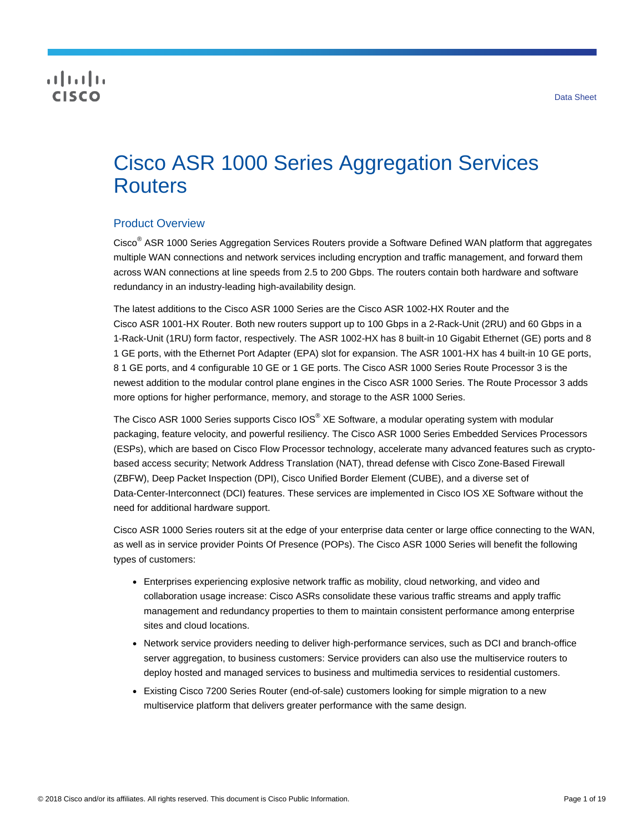## **CISCO**

# Cisco ASR 1000 Series Aggregation Services **Routers**

## Product Overview

Cisco<sup>®</sup> ASR 1000 Series Aggregation Services Routers provide a Software Defined WAN platform that aggregates multiple WAN connections and network services including encryption and traffic management, and forward them across WAN connections at line speeds from 2.5 to 200 Gbps. The routers contain both hardware and software redundancy in an industry-leading high-availability design.

The latest additions to the Cisco ASR 1000 Series are the Cisco ASR 1002-HX Router and the Cisco ASR 1001-HX Router. Both new routers support up to 100 Gbps in a 2-Rack-Unit (2RU) and 60 Gbps in a 1-Rack-Unit (1RU) form factor, respectively. The ASR 1002-HX has 8 built-in 10 Gigabit Ethernet (GE) ports and 8 1 GE ports, with the Ethernet Port Adapter (EPA) slot for expansion. The ASR 1001-HX has 4 built-in 10 GE ports, 8 1 GE ports, and 4 configurable 10 GE or 1 GE ports. The Cisco ASR 1000 Series Route Processor 3 is the newest addition to the modular control plane engines in the Cisco ASR 1000 Series. The Route Processor 3 adds more options for higher performance, memory, and storage to the ASR 1000 Series.

The Cisco ASR 1000 Series supports Cisco IOS<sup>®</sup> XE Software, a modular operating system with modular packaging, feature velocity, and powerful resiliency. The Cisco ASR 1000 Series Embedded Services Processors (ESPs), which are based on Cisco Flow Processor technology, accelerate many advanced features such as cryptobased access security; Network Address Translation (NAT), thread defense with Cisco Zone-Based Firewall (ZBFW), Deep Packet Inspection (DPI), Cisco Unified Border Element (CUBE), and a diverse set of Data-Center-Interconnect (DCI) features. These services are implemented in Cisco IOS XE Software without the need for additional hardware support.

Cisco ASR 1000 Series routers sit at the edge of your enterprise data center or large office connecting to the WAN, as well as in service provider Points Of Presence (POPs). The Cisco ASR 1000 Series will benefit the following types of customers:

- Enterprises experiencing explosive network traffic as mobility, cloud networking, and video and collaboration usage increase: Cisco ASRs consolidate these various traffic streams and apply traffic management and redundancy properties to them to maintain consistent performance among enterprise sites and cloud locations.
- Network service providers needing to deliver high-performance services, such as DCI and branch-office server aggregation, to business customers: Service providers can also use the multiservice routers to deploy hosted and managed services to business and multimedia services to residential customers.
- Existing Cisco 7200 Series Router (end-of-sale) customers looking for simple migration to a new multiservice platform that delivers greater performance with the same design.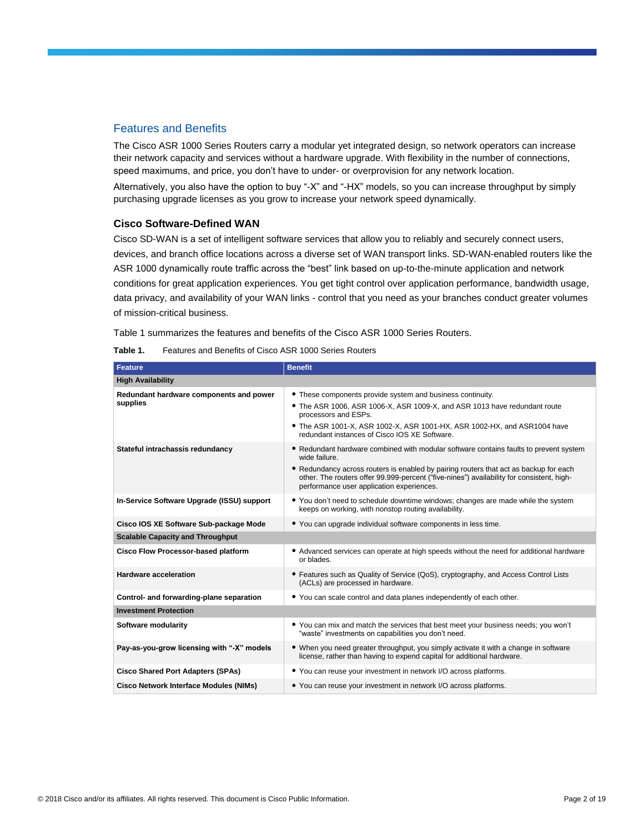#### Features and Benefits

The Cisco ASR 1000 Series Routers carry a modular yet integrated design, so network operators can increase their network capacity and services without a hardware upgrade. With flexibility in the number of connections, speed maximums, and price, you don't have to under- or overprovision for any network location.

Alternatively, you also have the option to buy "-X" and "-HX" models, so you can increase throughput by simply purchasing upgrade licenses as you grow to increase your network speed dynamically.

#### **Cisco Software-Defined WAN**

Cisco SD-WAN is a set of intelligent software services that allow you to reliably and securely connect users, devices, and branch office locations across a diverse set of WAN transport links. SD-WAN-enabled routers like the ASR 1000 dynamically route traffic across the "best" link based on up-to-the-minute application and network conditions for great application experiences. You get tight control over application performance, bandwidth usage, data privacy, and availability of your WAN links - control that you need as your branches conduct greater volumes of mission-critical business.

Table 1 summarizes the features and benefits of the Cisco ASR 1000 Series Routers.

|  | Table 1. | Features and Benefits of Cisco ASR 1000 Series Routers |
|--|----------|--------------------------------------------------------|
|--|----------|--------------------------------------------------------|

| <b>Feature</b>                                      | <b>Benefit</b>                                                                                                                                                                                                                                                                                                                            |
|-----------------------------------------------------|-------------------------------------------------------------------------------------------------------------------------------------------------------------------------------------------------------------------------------------------------------------------------------------------------------------------------------------------|
| <b>High Availability</b>                            |                                                                                                                                                                                                                                                                                                                                           |
| Redundant hardware components and power<br>supplies | • These components provide system and business continuity.<br>• The ASR 1006, ASR 1006-X, ASR 1009-X, and ASR 1013 have redundant route<br>processors and ESPs.<br>• The ASR 1001-X, ASR 1002-X, ASR 1001-HX, ASR 1002-HX, and ASR 1004 have<br>redundant instances of Cisco IOS XE Software.                                             |
| Stateful intrachassis redundancy                    | • Redundant hardware combined with modular software contains faults to prevent system<br>wide failure.<br>• Redundancy across routers is enabled by pairing routers that act as backup for each<br>other. The routers offer 99.999-percent ("five-nines") availability for consistent, high-<br>performance user application experiences. |
| In-Service Software Upgrade (ISSU) support          | • You don't need to schedule downtime windows; changes are made while the system<br>keeps on working, with nonstop routing availability.                                                                                                                                                                                                  |
| Cisco IOS XE Software Sub-package Mode              | • You can upgrade individual software components in less time.                                                                                                                                                                                                                                                                            |
| <b>Scalable Capacity and Throughput</b>             |                                                                                                                                                                                                                                                                                                                                           |
| <b>Cisco Flow Processor-based platform</b>          | • Advanced services can operate at high speeds without the need for additional hardware<br>or blades.                                                                                                                                                                                                                                     |
| <b>Hardware acceleration</b>                        | • Features such as Quality of Service (QoS), cryptography, and Access Control Lists<br>(ACLs) are processed in hardware.                                                                                                                                                                                                                  |
| Control- and forwarding-plane separation            | • You can scale control and data planes independently of each other.                                                                                                                                                                                                                                                                      |
| <b>Investment Protection</b>                        |                                                                                                                                                                                                                                                                                                                                           |
| Software modularity                                 | • You can mix and match the services that best meet your business needs; you won't<br>"waste" investments on capabilities you don't need.                                                                                                                                                                                                 |
| Pay-as-you-grow licensing with "-X" models          | • When you need greater throughput, you simply activate it with a change in software<br>license, rather than having to expend capital for additional hardware.                                                                                                                                                                            |
| <b>Cisco Shared Port Adapters (SPAs)</b>            | • You can reuse your investment in network I/O across platforms.                                                                                                                                                                                                                                                                          |
| <b>Cisco Network Interface Modules (NIMs)</b>       | • You can reuse your investment in network I/O across platforms.                                                                                                                                                                                                                                                                          |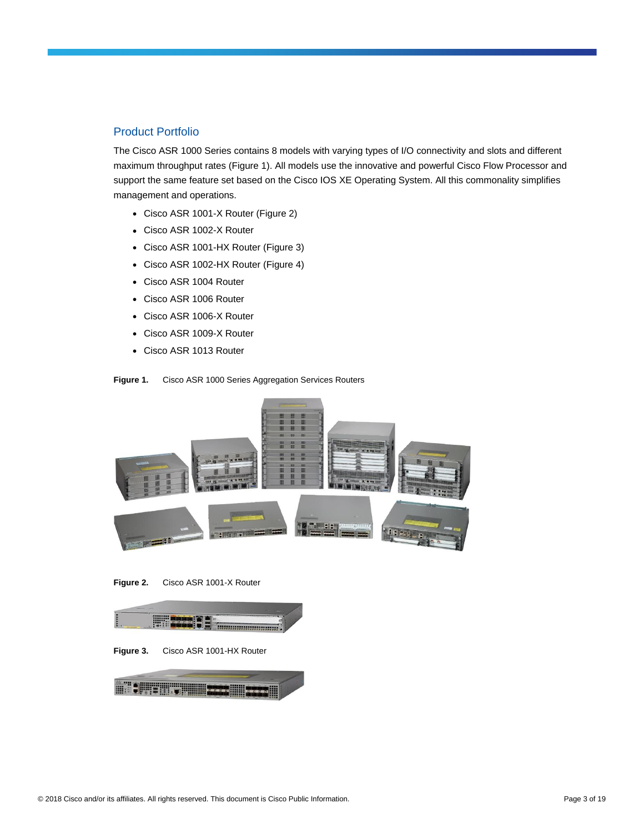#### Product Portfolio

The Cisco ASR 1000 Series contains 8 models with varying types of I/O connectivity and slots and different maximum throughput rates (Figure 1). All models use the innovative and powerful Cisco Flow Processor and support the same feature set based on the Cisco IOS XE Operating System. All this commonality simplifies management and operations.

- Cisco ASR 1001-X Router (Figure 2)
- Cisco ASR 1002-X Router
- Cisco ASR 1001-HX Router (Figure 3)
- Cisco ASR 1002-HX Router (Figure 4)
- Cisco ASR 1004 Router
- Cisco ASR 1006 Router
- Cisco ASR 1006-X Router
- Cisco ASR 1009-X Router
- Cisco ASR 1013 Router





**Figure 2.** Cisco ASR 1001-X Router



**Figure 3.** Cisco ASR 1001-HX Router

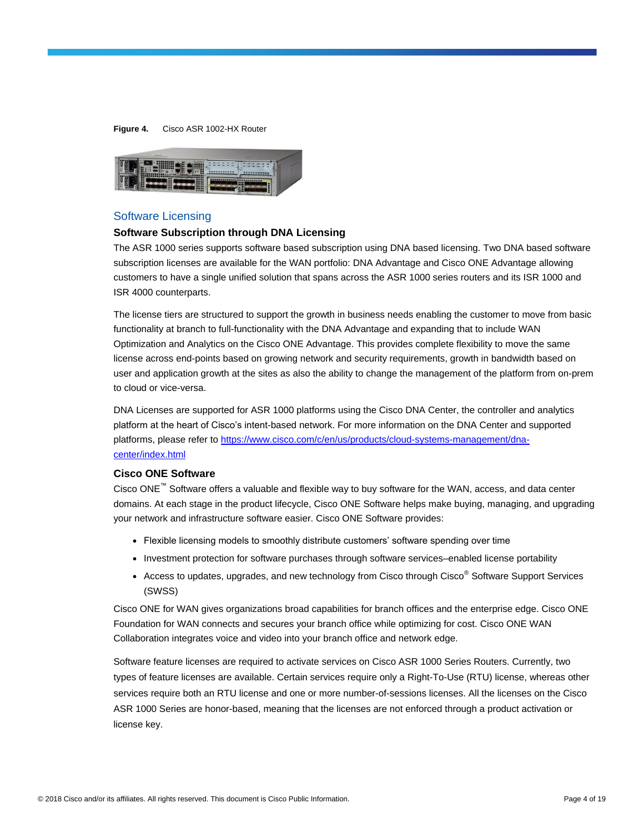#### **Figure 4.** Cisco ASR 1002-HX Router



#### Software Licensing

#### **Software Subscription through DNA Licensing**

The ASR 1000 series supports software based subscription using DNA based licensing. Two DNA based software subscription licenses are available for the WAN portfolio: DNA Advantage and Cisco ONE Advantage allowing customers to have a single unified solution that spans across the ASR 1000 series routers and its ISR 1000 and ISR 4000 counterparts.

The license tiers are structured to support the growth in business needs enabling the customer to move from basic functionality at branch to full-functionality with the DNA Advantage and expanding that to include WAN Optimization and Analytics on the Cisco ONE Advantage. This provides complete flexibility to move the same license across end-points based on growing network and security requirements, growth in bandwidth based on user and application growth at the sites as also the ability to change the management of the platform from on-prem to cloud or vice-versa.

DNA Licenses are supported for ASR 1000 platforms using the Cisco DNA Center, the controller and analytics platform at the heart of Cisco's intent-based network. For more information on the DNA Center and supported platforms, please refer to [https://www.cisco.com/c/en/us/products/cloud-systems-management/dna](https://www.cisco.com/c/en/us/products/cloud-systems-management/dna-center/index.html)[center/index.html](https://www.cisco.com/c/en/us/products/cloud-systems-management/dna-center/index.html)

#### **Cisco ONE Software**

Cisco ONE™ Software offers a valuable and flexible way to buy software for the WAN, access, and data center domains. At each stage in the product lifecycle, Cisco ONE Software helps make buying, managing, and upgrading your network and infrastructure software easier. Cisco ONE Software provides:

- Flexible licensing models to smoothly distribute customers' software spending over time
- Investment protection for software purchases through software services–enabled license portability
- Access to updates, upgrades, and new technology from Cisco through Cisco<sup>®</sup> Software Support Services (SWSS)

Cisco ONE for WAN gives organizations broad capabilities for branch offices and the enterprise edge. Cisco ONE Foundation for WAN connects and secures your branch office while optimizing for cost. Cisco ONE WAN Collaboration integrates voice and video into your branch office and network edge.

Software feature licenses are required to activate services on Cisco ASR 1000 Series Routers. Currently, two types of feature licenses are available. Certain services require only a Right-To-Use (RTU) license, whereas other services require both an RTU license and one or more number-of-sessions licenses. All the licenses on the Cisco ASR 1000 Series are honor-based, meaning that the licenses are not enforced through a product activation or license key.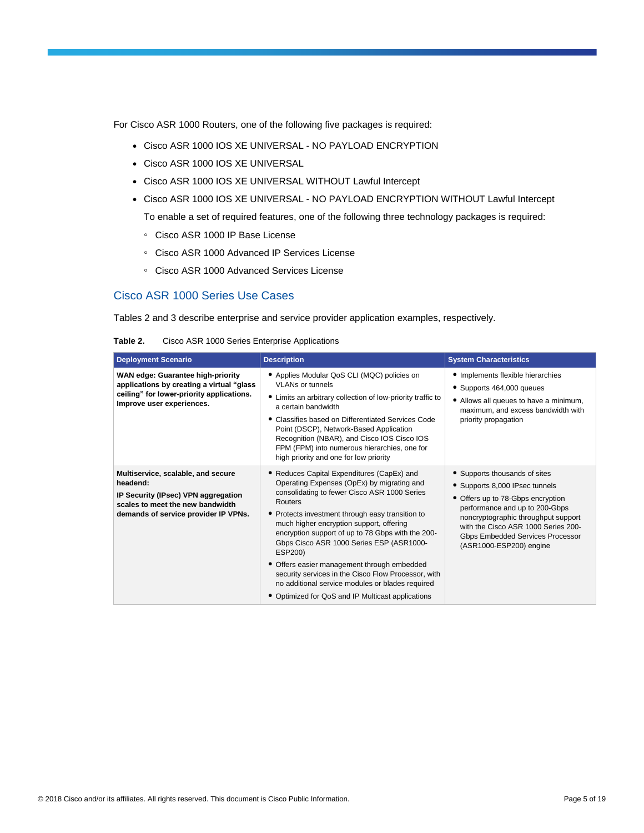For Cisco ASR 1000 Routers, one of the following five packages is required:

- Cisco ASR 1000 IOS XE UNIVERSAL NO PAYLOAD ENCRYPTION
- Cisco ASR 1000 IOS XE UNIVERSAL
- Cisco ASR 1000 IOS XE UNIVERSAL WITHOUT Lawful Intercept
- Cisco ASR 1000 IOS XE UNIVERSAL NO PAYLOAD ENCRYPTION WITHOUT Lawful Intercept

To enable a set of required features, one of the following three technology packages is required:

- Cisco ASR 1000 IP Base License
- Cisco ASR 1000 Advanced IP Services License
- Cisco ASR 1000 Advanced Services License

## Cisco ASR 1000 Series Use Cases

Tables 2 and 3 describe enterprise and service provider application examples, respectively.

| Table 2. |  |  | Cisco ASR 1000 Series Enterprise Applications |
|----------|--|--|-----------------------------------------------|
|          |  |  |                                               |

| <b>Deployment Scenario</b>                                                                                                                                        | <b>Description</b>                                                                                                                                                                                                                                                                                                                                                                                                                                                                                                                                                             | <b>System Characteristics</b>                                                                                                                                                                                                                                                       |
|-------------------------------------------------------------------------------------------------------------------------------------------------------------------|--------------------------------------------------------------------------------------------------------------------------------------------------------------------------------------------------------------------------------------------------------------------------------------------------------------------------------------------------------------------------------------------------------------------------------------------------------------------------------------------------------------------------------------------------------------------------------|-------------------------------------------------------------------------------------------------------------------------------------------------------------------------------------------------------------------------------------------------------------------------------------|
| WAN edge: Guarantee high-priority<br>applications by creating a virtual "glass<br>ceiling" for lower-priority applications.<br>Improve user experiences.          | • Applies Modular QoS CLI (MQC) policies on<br><b>VLANs or tunnels</b><br>• Limits an arbitrary collection of low-priority traffic to<br>a certain bandwidth<br>Classifies based on Differentiated Services Code<br>Point (DSCP), Network-Based Application<br>Recognition (NBAR), and Cisco IOS Cisco IOS<br>FPM (FPM) into numerous hierarchies, one for<br>high priority and one for low priority                                                                                                                                                                           | • Implements flexible hierarchies<br>• Supports 464,000 queues<br>• Allows all queues to have a minimum,<br>maximum, and excess bandwidth with<br>priority propagation                                                                                                              |
| Multiservice, scalable, and secure<br>headend:<br>IP Security (IPsec) VPN aggregation<br>scales to meet the new bandwidth<br>demands of service provider IP VPNs. | • Reduces Capital Expenditures (CapEx) and<br>Operating Expenses (OpEx) by migrating and<br>consolidating to fewer Cisco ASR 1000 Series<br>Routers<br>• Protects investment through easy transition to<br>much higher encryption support, offering<br>encryption support of up to 78 Gbps with the 200-<br>Gbps Cisco ASR 1000 Series ESP (ASR1000-<br>ESP200)<br>• Offers easier management through embedded<br>security services in the Cisco Flow Processor, with<br>no additional service modules or blades required<br>• Optimized for QoS and IP Multicast applications | • Supports thousands of sites<br>• Supports 8,000 IPsec tunnels<br>• Offers up to 78-Gbps encryption<br>performance and up to 200-Gbps<br>noncryptographic throughput support<br>with the Cisco ASR 1000 Series 200-<br>Gbps Embedded Services Processor<br>(ASR1000-ESP200) engine |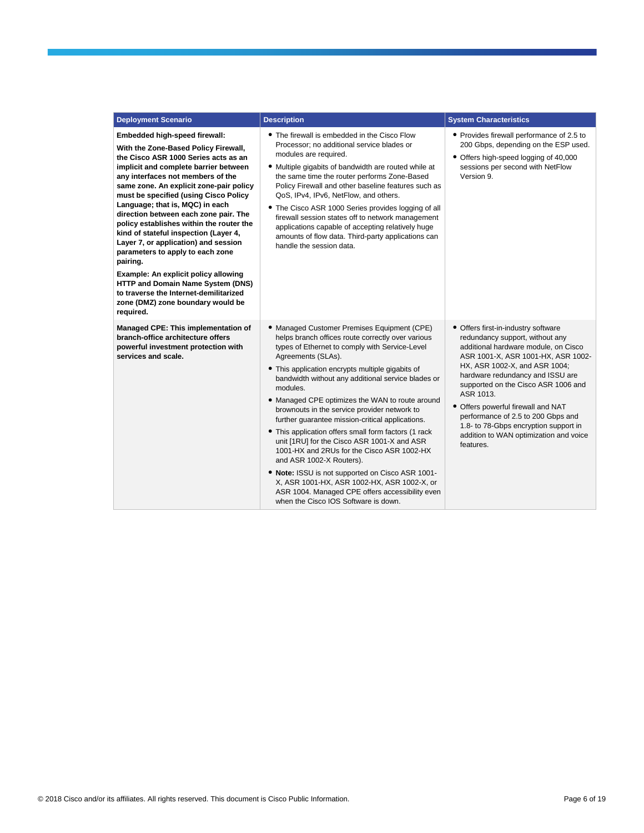| <b>Deployment Scenario</b>                                                                                                                                                                                                                                                                                                                                                                                                                                                                                                                                                                                                                                                                                        | <b>Description</b>                                                                                                                                                                                                                                                                                                                                                                                                                                                                                                                                                                                                                                                                                                                                                                                                                   | <b>System Characteristics</b>                                                                                                                                                                                                                                                                                                                                                                                                                             |
|-------------------------------------------------------------------------------------------------------------------------------------------------------------------------------------------------------------------------------------------------------------------------------------------------------------------------------------------------------------------------------------------------------------------------------------------------------------------------------------------------------------------------------------------------------------------------------------------------------------------------------------------------------------------------------------------------------------------|--------------------------------------------------------------------------------------------------------------------------------------------------------------------------------------------------------------------------------------------------------------------------------------------------------------------------------------------------------------------------------------------------------------------------------------------------------------------------------------------------------------------------------------------------------------------------------------------------------------------------------------------------------------------------------------------------------------------------------------------------------------------------------------------------------------------------------------|-----------------------------------------------------------------------------------------------------------------------------------------------------------------------------------------------------------------------------------------------------------------------------------------------------------------------------------------------------------------------------------------------------------------------------------------------------------|
| Embedded high-speed firewall:<br>With the Zone-Based Policy Firewall,<br>the Cisco ASR 1000 Series acts as an<br>implicit and complete barrier between<br>any interfaces not members of the<br>same zone. An explicit zone-pair policy<br>must be specified (using Cisco Policy<br>Language; that is, MQC) in each<br>direction between each zone pair. The<br>policy establishes within the router the<br>kind of stateful inspection (Layer 4,<br>Layer 7, or application) and session<br>parameters to apply to each zone<br>pairing.<br>Example: An explicit policy allowing<br>HTTP and Domain Name System (DNS)<br>to traverse the Internet-demilitarized<br>zone (DMZ) zone boundary would be<br>required. | • The firewall is embedded in the Cisco Flow<br>Processor; no additional service blades or<br>modules are required.<br>• Multiple gigabits of bandwidth are routed while at<br>the same time the router performs Zone-Based<br>Policy Firewall and other baseline features such as<br>QoS, IPv4, IPv6, NetFlow, and others.<br>• The Cisco ASR 1000 Series provides logging of all<br>firewall session states off to network management<br>applications capable of accepting relatively huge<br>amounts of flow data. Third-party applications can<br>handle the session data.                                                                                                                                                                                                                                                       | • Provides firewall performance of 2.5 to<br>200 Gbps, depending on the ESP used.<br>• Offers high-speed logging of 40,000<br>sessions per second with NetFlow<br>Version 9.                                                                                                                                                                                                                                                                              |
| Managed CPE: This implementation of<br>branch-office architecture offers<br>powerful investment protection with<br>services and scale.                                                                                                                                                                                                                                                                                                                                                                                                                                                                                                                                                                            | • Managed Customer Premises Equipment (CPE)<br>helps branch offices route correctly over various<br>types of Ethernet to comply with Service-Level<br>Agreements (SLAs).<br>• This application encrypts multiple gigabits of<br>bandwidth without any additional service blades or<br>modules.<br>• Managed CPE optimizes the WAN to route around<br>brownouts in the service provider network to<br>further guarantee mission-critical applications.<br>• This application offers small form factors (1 rack<br>unit [1RU] for the Cisco ASR 1001-X and ASR<br>1001-HX and 2RUs for the Cisco ASR 1002-HX<br>and ASR 1002-X Routers).<br>. Note: ISSU is not supported on Cisco ASR 1001-<br>X, ASR 1001-HX, ASR 1002-HX, ASR 1002-X, or<br>ASR 1004. Managed CPE offers accessibility even<br>when the Cisco IOS Software is down. | • Offers first-in-industry software<br>redundancy support, without any<br>additional hardware module, on Cisco<br>ASR 1001-X, ASR 1001-HX, ASR 1002-<br>HX, ASR 1002-X, and ASR 1004;<br>hardware redundancy and ISSU are<br>supported on the Cisco ASR 1006 and<br>ASR 1013.<br>• Offers powerful firewall and NAT<br>performance of 2.5 to 200 Gbps and<br>1.8- to 78-Gbps encryption support in<br>addition to WAN optimization and voice<br>features. |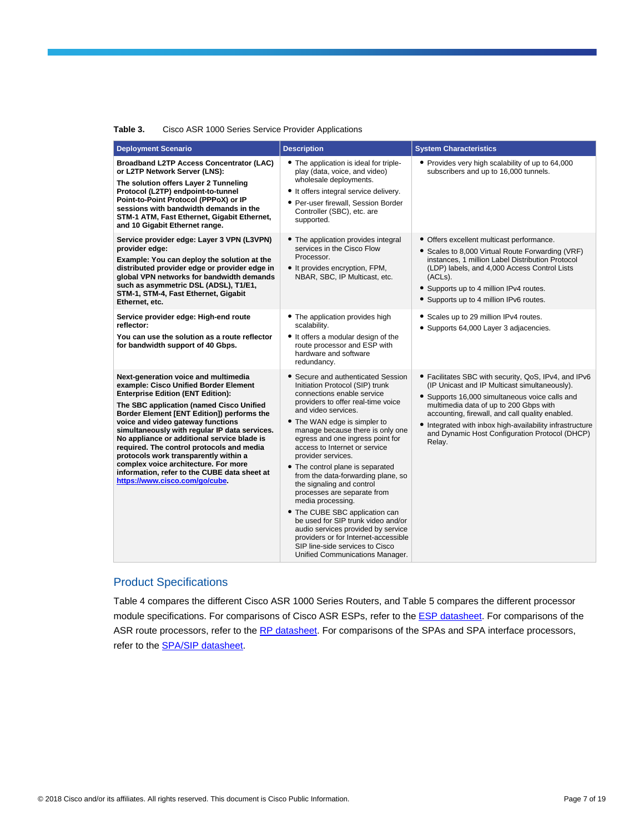| Cisco ASR 1000 Series Service Provider Applications<br>Table 3. |
|-----------------------------------------------------------------|
|-----------------------------------------------------------------|

| <b>Deployment Scenario</b>                                                                                                                                                                                                                                                                                                                                                                                                                                                                                                                                               | <b>Description</b>                                                                                                                                                                                                                                                                                                                                                                                                                                                                                                                                                                                                                                                                                                     | <b>System Characteristics</b>                                                                                                                                                                                                                                                                                                                                                |
|--------------------------------------------------------------------------------------------------------------------------------------------------------------------------------------------------------------------------------------------------------------------------------------------------------------------------------------------------------------------------------------------------------------------------------------------------------------------------------------------------------------------------------------------------------------------------|------------------------------------------------------------------------------------------------------------------------------------------------------------------------------------------------------------------------------------------------------------------------------------------------------------------------------------------------------------------------------------------------------------------------------------------------------------------------------------------------------------------------------------------------------------------------------------------------------------------------------------------------------------------------------------------------------------------------|------------------------------------------------------------------------------------------------------------------------------------------------------------------------------------------------------------------------------------------------------------------------------------------------------------------------------------------------------------------------------|
| <b>Broadband L2TP Access Concentrator (LAC)</b><br>or L2TP Network Server (LNS):<br>The solution offers Layer 2 Tunneling<br>Protocol (L2TP) endpoint-to-tunnel<br>Point-to-Point Protocol (PPPoX) or IP<br>sessions with bandwidth demands in the<br>STM-1 ATM, Fast Ethernet, Gigabit Ethernet,<br>and 10 Gigabit Ethernet range.                                                                                                                                                                                                                                      | • The application is ideal for triple-<br>play (data, voice, and video)<br>wholesale deployments.<br>• It offers integral service delivery.<br>• Per-user firewall, Session Border<br>Controller (SBC), etc. are<br>supported.                                                                                                                                                                                                                                                                                                                                                                                                                                                                                         | • Provides very high scalability of up to 64,000<br>subscribers and up to 16,000 tunnels.                                                                                                                                                                                                                                                                                    |
| Service provider edge: Layer 3 VPN (L3VPN)<br>provider edge:<br>Example: You can deploy the solution at the<br>distributed provider edge or provider edge in<br>global VPN networks for bandwidth demands<br>such as asymmetric DSL (ADSL), T1/E1,<br>STM-1, STM-4, Fast Ethernet, Gigabit<br>Ethernet, etc.                                                                                                                                                                                                                                                             | • The application provides integral<br>services in the Cisco Flow<br>Processor.<br>• It provides encryption, FPM,<br>NBAR, SBC, IP Multicast, etc.                                                                                                                                                                                                                                                                                                                                                                                                                                                                                                                                                                     | • Offers excellent multicast performance.<br>• Scales to 8,000 Virtual Route Forwarding (VRF)<br>instances, 1 million Label Distribution Protocol<br>(LDP) labels, and 4,000 Access Control Lists<br>(ACLs).<br>• Supports up to 4 million IPv4 routes.<br>• Supports up to 4 million IPv6 routes.                                                                           |
| Service provider edge: High-end route<br>reflector:<br>You can use the solution as a route reflector<br>for bandwidth support of 40 Gbps.                                                                                                                                                                                                                                                                                                                                                                                                                                | • The application provides high<br>scalability.<br>• It offers a modular design of the<br>route processor and ESP with<br>hardware and software<br>redundancy.                                                                                                                                                                                                                                                                                                                                                                                                                                                                                                                                                         | • Scales up to 29 million IPv4 routes.<br>• Supports 64,000 Layer 3 adjacencies.                                                                                                                                                                                                                                                                                             |
| Next-generation voice and multimedia<br>example: Cisco Unified Border Element<br><b>Enterprise Edition (ENT Edition):</b><br>The SBC application (named Cisco Unified<br>Border Element [ENT Edition]) performs the<br>voice and video gateway functions<br>simultaneously with regular IP data services.<br>No appliance or additional service blade is<br>required. The control protocols and media<br>protocols work transparently within a<br>complex voice architecture. For more<br>information, refer to the CUBE data sheet at<br>https://www.cisco.com/go/cube. | • Secure and authenticated Session<br>Initiation Protocol (SIP) trunk<br>connections enable service<br>providers to offer real-time voice<br>and video services.<br>• The WAN edge is simpler to<br>manage because there is only one<br>egress and one ingress point for<br>access to Internet or service<br>provider services.<br>• The control plane is separated<br>from the data-forwarding plane, so<br>the signaling and control<br>processes are separate from<br>media processing.<br>• The CUBE SBC application can<br>be used for SIP trunk video and/or<br>audio services provided by service<br>providers or for Internet-accessible<br>SIP line-side services to Cisco<br>Unified Communications Manager. | • Facilitates SBC with security, QoS, IPv4, and IPv6<br>(IP Unicast and IP Multicast simultaneously).<br>• Supports 16,000 simultaneous voice calls and<br>multimedia data of up to 200 Gbps with<br>accounting, firewall, and call quality enabled.<br>• Integrated with inbox high-availability infrastructure<br>and Dynamic Host Configuration Protocol (DHCP)<br>Relay. |

## Product Specifications

Table 4 compares the different Cisco ASR 1000 Series Routers, and Table 5 compares the different processor module specifications. For comparisons of Cisco ASR ESPs, refer to the **ESP datasheet**. For comparisons of the ASR route processors, refer to the [RP datasheet.](https://www.cisco.com/c/en/us/products/collateral/routers/asr-1000-series-aggregation-services-routers/data_sheet_c78-441072.html) For comparisons of the SPAs and SPA interface processors, refer to the **SPA/SIP** datasheet.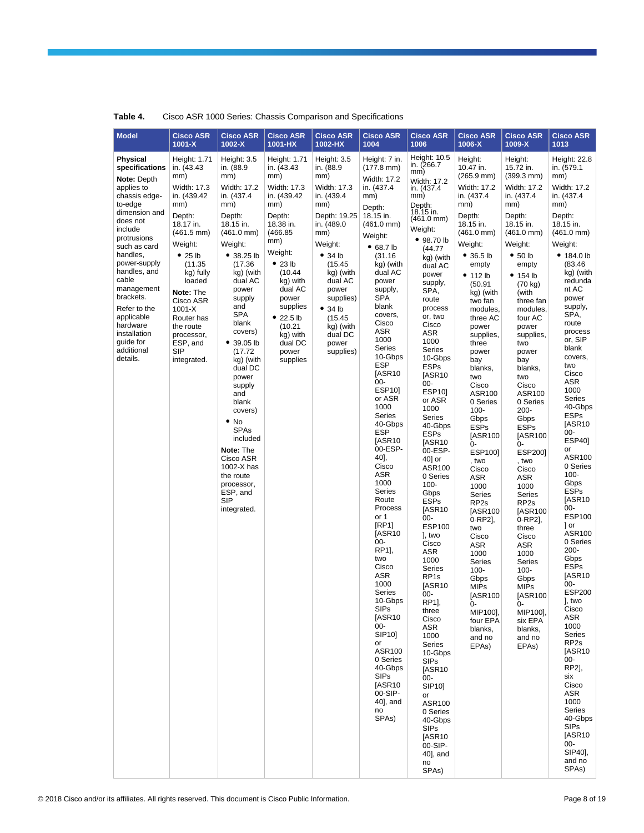| <b>Model</b>                                                                                                                                                                                                                                                                                                                                       | <b>Cisco ASR</b>                                                                                                                                                                                                                                                                                                 | <b>Cisco ASR</b>                                                                                                                                                                                                                                                                                                                                                                                                                                                                                  | <b>Cisco ASR</b>                                                                                                                                                                                                                                                    | <b>Cisco ASR</b>                                                                                                                                                                                                                                              | <b>Cisco ASR</b>                                                                                                                                                                                                                                                                                                                                                                                                                                                                                                                                                                                                                                                                                                                                        | <b>Cisco ASR</b>                                                                                                                                                                                                                                                                                                                                                                                                                                                                                                                                                                                                                                                                                                                                                                                                    | <b>Cisco ASR</b>                                                                                                                                                                                                                                                                                                                                                                                                                                                                                                                                                                                                                                            | <b>Cisco ASR</b>                                                                                                                                                                                                                                                                                                                                                                                                                                                                                                                                                                                                                                        | <b>Cisco ASR</b>                                                                                                                                                                                                                                                                                                                                                                                                                                                                                                                                                                                                                                                                                                                                                                                      |
|----------------------------------------------------------------------------------------------------------------------------------------------------------------------------------------------------------------------------------------------------------------------------------------------------------------------------------------------------|------------------------------------------------------------------------------------------------------------------------------------------------------------------------------------------------------------------------------------------------------------------------------------------------------------------|---------------------------------------------------------------------------------------------------------------------------------------------------------------------------------------------------------------------------------------------------------------------------------------------------------------------------------------------------------------------------------------------------------------------------------------------------------------------------------------------------|---------------------------------------------------------------------------------------------------------------------------------------------------------------------------------------------------------------------------------------------------------------------|---------------------------------------------------------------------------------------------------------------------------------------------------------------------------------------------------------------------------------------------------------------|---------------------------------------------------------------------------------------------------------------------------------------------------------------------------------------------------------------------------------------------------------------------------------------------------------------------------------------------------------------------------------------------------------------------------------------------------------------------------------------------------------------------------------------------------------------------------------------------------------------------------------------------------------------------------------------------------------------------------------------------------------|---------------------------------------------------------------------------------------------------------------------------------------------------------------------------------------------------------------------------------------------------------------------------------------------------------------------------------------------------------------------------------------------------------------------------------------------------------------------------------------------------------------------------------------------------------------------------------------------------------------------------------------------------------------------------------------------------------------------------------------------------------------------------------------------------------------------|-------------------------------------------------------------------------------------------------------------------------------------------------------------------------------------------------------------------------------------------------------------------------------------------------------------------------------------------------------------------------------------------------------------------------------------------------------------------------------------------------------------------------------------------------------------------------------------------------------------------------------------------------------------|---------------------------------------------------------------------------------------------------------------------------------------------------------------------------------------------------------------------------------------------------------------------------------------------------------------------------------------------------------------------------------------------------------------------------------------------------------------------------------------------------------------------------------------------------------------------------------------------------------------------------------------------------------|-------------------------------------------------------------------------------------------------------------------------------------------------------------------------------------------------------------------------------------------------------------------------------------------------------------------------------------------------------------------------------------------------------------------------------------------------------------------------------------------------------------------------------------------------------------------------------------------------------------------------------------------------------------------------------------------------------------------------------------------------------------------------------------------------------|
|                                                                                                                                                                                                                                                                                                                                                    | $1001 - X$                                                                                                                                                                                                                                                                                                       | 1002-X                                                                                                                                                                                                                                                                                                                                                                                                                                                                                            | 1001-HX                                                                                                                                                                                                                                                             | 1002-HX                                                                                                                                                                                                                                                       | 1004                                                                                                                                                                                                                                                                                                                                                                                                                                                                                                                                                                                                                                                                                                                                                    | 1006                                                                                                                                                                                                                                                                                                                                                                                                                                                                                                                                                                                                                                                                                                                                                                                                                | 1006-X                                                                                                                                                                                                                                                                                                                                                                                                                                                                                                                                                                                                                                                      | 1009-X                                                                                                                                                                                                                                                                                                                                                                                                                                                                                                                                                                                                                                                  | 1013                                                                                                                                                                                                                                                                                                                                                                                                                                                                                                                                                                                                                                                                                                                                                                                                  |
| <b>Physical</b><br>specifications<br>Note: Depth<br>applies to<br>chassis edge-<br>to-edge<br>dimension and<br>does not<br>include<br>protrusions<br>such as card<br>handles.<br>power-supply<br>handles, and<br>cable<br>management<br>brackets.<br>Refer to the<br>applicable<br>hardware<br>installation<br>guide for<br>additional<br>details. | Height: 1.71<br>in. (43.43)<br>mm)<br><b>Width: 17.3</b><br>in. (439.42)<br>mm)<br>Depth:<br>18.17 in.<br>$(461.5 \text{ mm})$<br>Weight:<br>• 25 lb<br>(11.35)<br>kg) fully<br>loaded<br>Note: The<br>Cisco ASR<br>$1001 - X$<br>Router has<br>the route<br>processor,<br>ESP, and<br><b>SIP</b><br>integrated. | Height: 3.5<br>in. (88.9<br>mm)<br>Width: 17.2<br>in. (437.4)<br>mm)<br>Depth:<br>18.15 in.<br>$(461.0 \text{ mm})$<br>Weight:<br>• 38.25 lb<br>(17.36)<br>kg) (with<br>dual AC<br>power<br>supply<br>and<br><b>SPA</b><br>blank<br>covers)<br>• 39.05 lb<br>(17.72)<br>kg) (with<br>dual DC<br>power<br>supply<br>and<br>blank<br>covers)<br>$\bullet$ No<br><b>SPAs</b><br>included<br>Note: The<br>Cisco ASR<br>1002-X has<br>the route<br>processor,<br>ESP, and<br><b>SIP</b><br>integrated. | Height: 1.71<br>in. (43.43)<br>mm)<br>Width: 17.3<br>in. (439.42)<br>mm)<br>Depth:<br>18.38 in.<br>(466.85)<br>mm)<br>Weight:<br>• 23 lb<br>(10.44)<br>kg) with<br>dual AC<br>power<br>supplies<br>• 22.5 lb<br>(10.21)<br>kg) with<br>dual DC<br>power<br>supplies | Height: 3.5<br>in. (88.9<br>mm)<br>Width: 17.3<br>in. (439.4)<br>mm)<br>Depth: 19.25<br>in. (489.0)<br>mm)<br>Weight:<br>• 34 lb<br>(15.45)<br>kg) (with<br>dual AC<br>power<br>supplies)<br>• 34 lb<br>(15.45)<br>kg) (with<br>dual DC<br>power<br>supplies) | Height: 7 in.<br>$(177.8 \text{ mm})$<br>Width: 17.2<br>in. (437.4)<br>mm)<br>Depth:<br>18.15 in.<br>$(461.0 \text{ mm})$<br>Weight:<br>• 68.7 lb<br>(31.16)<br>kg) (with<br>dual AC<br>power<br>supply,<br><b>SPA</b><br>blank<br>covers,<br>Cisco<br>ASR<br>1000<br>Series<br>10-Gbps<br><b>ESP</b><br>[ASR10<br>$00 -$<br><b>ESP10]</b><br>or ASR<br>1000<br><b>Series</b><br>40-Gbps<br><b>ESP</b><br>[ASR10<br>00-ESP-<br>40],<br>Cisco<br>ASR<br>1000<br>Series<br>Route<br>Process<br>or 1<br>[RP1]<br>[ASR10<br>00-<br>RP1],<br>two<br>Cisco<br>ASR<br>1000<br>Series<br>10-Gbps<br><b>SIPs</b><br>[ASR10<br>$00-$<br>SIP10]<br>or<br>ASR100<br>0 Series<br>40-Gbps<br><b>SIPs</b><br>[ASR10<br>00-SIP-<br>40], and<br>no<br>SPA <sub>s</sub> ) | Height: 10.5<br>in. (266.7)<br>mm)<br>Width: 17.2<br>in. (437.4)<br>mm)<br>Depth:<br>18.15 in.<br>$(461.0 \text{ mm})$<br>Weight:<br>• 98.70 lb<br>(44.77)<br>kg) (with<br>dual AC<br>power<br>supply,<br>SPA,<br>route<br>process<br>or, two<br>Cisco<br>ASR<br>1000<br>Series<br>10-Gbps<br><b>ESPs</b><br>[ASR10<br>00-<br>ESP10]<br>or ASR<br>1000<br>Series<br>40-Gbps<br><b>ESPs</b><br>[ASR10<br>00-ESP-<br>40] or<br>ASR100<br>0 Series<br>$100 -$<br>Gbps<br><b>ESPs</b><br>[ASR10<br>00-<br><b>ESP100</b><br>], two<br>Cisco<br>ASR<br>1000<br>Series<br>RP <sub>1s</sub><br>[ASR10<br>00-<br>RP1],<br>three<br>Cisco<br>ASR<br>1000<br>Series<br>10-Gbps<br><b>SIPs</b><br>[ASR10<br>00-<br>SIP10]<br>or<br>ASR100<br>0 Series<br>40-Gbps<br><b>SIPs</b><br>[ASR10<br>00-SIP-<br>40], and<br>no<br>SPAs) | Height:<br>10.47 in.<br>$(265.9 \text{ mm})$<br><b>Width: 17.2</b><br>in. (437.4)<br>mm)<br>Depth:<br>18.15 in.<br>$(461.0 \text{ mm})$<br>Weight:<br>• 36.5 lb<br>empty<br>• 112 lb<br>(50.91)<br>kg) (with<br>two fan<br>modules,<br>three AC<br>power<br>supplies,<br>three<br>power<br>bay<br>blanks,<br>two<br>Cisco<br>ASR100<br>0 Series<br>$100 -$<br>Gbps<br><b>ESPs</b><br>[ASR100<br>0-<br>ESP1001<br>, two<br>Cisco<br>ASR<br>1000<br>Series<br>RP <sub>2s</sub><br>[ASR100<br>0-RP2],<br>two<br>Cisco<br>ASR<br>1000<br><b>Series</b><br>$100 -$<br>Gbps<br><b>MIPs</b><br>[ASR100<br>0-<br>MIP100],<br>four EPA<br>blanks,<br>and no<br>EPAs) | Height:<br>15.72 in.<br>$(399.3 \text{ mm})$<br>Width: 17.2<br>in. (437.4)<br>mm)<br>Depth:<br>18.15 in.<br>$(461.0 \text{ mm})$<br>Weight:<br>• 50 lb<br>empty<br>• 154 lb<br>(70 kg)<br>(with<br>three fan<br>modules,<br>four AC<br>power<br>supplies,<br>two<br>power<br>bay<br>blanks,<br>two<br>Cisco<br>ASR100<br>0 Series<br>$200 -$<br>Gbps<br><b>ESPs</b><br>[ASR100<br>0-<br><b>ESP2001</b><br>, two<br>Cisco<br>ASR<br>1000<br>Series<br>RP <sub>2s</sub><br>[ASR100<br>$0-RP2$ ],<br>three<br>Cisco<br>ASR<br>1000<br>Series<br>$100 -$<br>Gbps<br>MIPs<br>[ASR100<br>0-<br>MIP100],<br>six EPA<br>blanks,<br>and no<br>EPA <sub>s</sub> ) | Height: 22.8<br>in. (579.1<br>mm)<br>Width: 17.2<br>in. (437.4)<br>mm)<br>Depth:<br>18.15 in.<br>$(461.0 \text{ mm})$<br>Weight:<br>• 184.0 lb<br>(83.46)<br>kg) (with<br>redunda<br>nt AC<br>power<br>supply,<br>SPA,<br>route<br>process<br>or, SIP<br>blank<br>covers,<br>two<br>Cisco<br>ASR<br>1000<br>Series<br>40-Gbps<br><b>ESPs</b><br>[ASR10<br>00-<br>ESP401<br>or<br>ASR100<br>0 Series<br>$100 -$<br>Gbps<br><b>ESPs</b><br>[ASR10<br>$00 -$<br><b>ESP100</b><br>1 or<br>ASR100<br>0 Series<br>$200 -$<br>Gbps<br><b>ESPs</b><br>[ASR10<br>00-<br><b>ESP200</b><br>J, two<br>Cisco<br>ASR<br>1000<br>Series<br>RP <sub>2s</sub><br>[ASR10<br>00-<br>RP2],<br>six<br>Cisco<br>ASR<br>1000<br>Series<br>40-Gbps<br><b>SIPs</b><br>[ASR10<br>00-<br>SIP40],<br>and no<br>SPA <sub>s</sub> ) |

## **Table 4.** Cisco ASR 1000 Series: Chassis Comparison and Specifications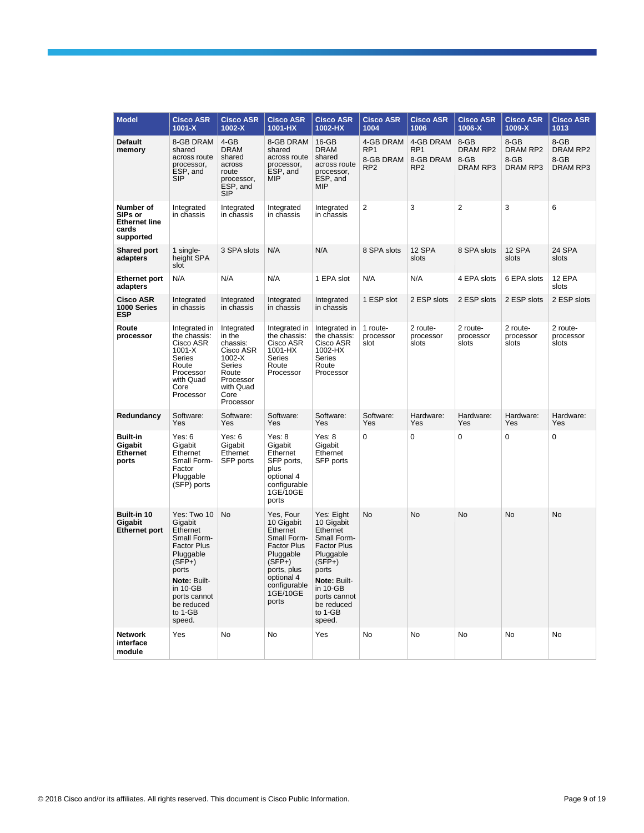| <b>Model</b>                                                       | <b>Cisco ASR</b><br>$1001 - X$                                                                                                                                                           | <b>Cisco ASR</b><br>1002-X                                                                                                | <b>Cisco ASR</b><br>1001-HX                                                                                                                                         | <b>Cisco ASR</b><br>1002-HX                                                                                                                                                                | <b>Cisco ASR</b><br>1004                                     | <b>Cisco ASR</b><br>1006                                     | <b>Cisco ASR</b><br>1006-X                  | <b>Cisco ASR</b><br>1009-X           | <b>Cisco ASR</b><br>1013             |
|--------------------------------------------------------------------|------------------------------------------------------------------------------------------------------------------------------------------------------------------------------------------|---------------------------------------------------------------------------------------------------------------------------|---------------------------------------------------------------------------------------------------------------------------------------------------------------------|--------------------------------------------------------------------------------------------------------------------------------------------------------------------------------------------|--------------------------------------------------------------|--------------------------------------------------------------|---------------------------------------------|--------------------------------------|--------------------------------------|
| Default<br>memory                                                  | 8-GB DRAM<br>shared<br>across route<br>processor,<br>ESP, and<br><b>SIP</b>                                                                                                              | $4 - GB$<br><b>DRAM</b><br>shared<br>across<br>route<br>processor,<br>ESP, and<br><b>SIP</b>                              | 8-GB DRAM<br>shared<br>across route<br>processor,<br>ESP, and<br>MIP                                                                                                | $16-GB$<br><b>DRAM</b><br>shared<br>across route<br>processor.<br>ESP, and<br><b>MIP</b>                                                                                                   | 4-GB DRAM<br>RP <sub>1</sub><br>8-GB DRAM<br>RP <sub>2</sub> | 4-GB DRAM<br>RP <sub>1</sub><br>8-GB DRAM<br>RP <sub>2</sub> | 8-GB<br>DRAM RP2<br>8-GB<br><b>DRAM RP3</b> | 8-GB<br>DRAM RP2<br>8-GB<br>DRAM RP3 | 8-GB<br>DRAM RP2<br>8-GB<br>DRAM RP3 |
| Number of<br>SIPs or<br><b>Ethernet line</b><br>cards<br>supported | Integrated<br>in chassis                                                                                                                                                                 | Integrated<br>in chassis                                                                                                  | Integrated<br>in chassis                                                                                                                                            | Integrated<br>in chassis                                                                                                                                                                   | 2                                                            | 3                                                            | $\overline{2}$                              | 3                                    | 6                                    |
| <b>Shared port</b><br>adapters                                     | 1 single-<br>height SPA<br>slot                                                                                                                                                          | 3 SPA slots                                                                                                               | N/A                                                                                                                                                                 | N/A                                                                                                                                                                                        | 8 SPA slots                                                  | 12 SPA<br>slots                                              | 8 SPA slots                                 | 12 SPA<br>slots                      | 24 SPA<br>slots                      |
| <b>Ethernet port</b><br>adapters                                   | N/A                                                                                                                                                                                      | N/A                                                                                                                       | N/A                                                                                                                                                                 | 1 EPA slot                                                                                                                                                                                 | N/A                                                          | N/A                                                          | 4 EPA slots                                 | 6 EPA slots                          | 12 EPA<br>slots                      |
| <b>Cisco ASR</b><br>1000 Series<br>ESP                             | Integrated<br>in chassis                                                                                                                                                                 | Integrated<br>in chassis                                                                                                  | Integrated<br>in chassis                                                                                                                                            | Integrated<br>in chassis                                                                                                                                                                   | 1 ESP slot                                                   | 2 ESP slots                                                  | 2 ESP slots                                 | 2 ESP slots                          | 2 ESP slots                          |
| Route<br>processor                                                 | Integrated in<br>the chassis:<br>Cisco ASR<br>$1001 - X$<br>Series<br>Route<br>Processor<br>with Quad<br>Core<br>Processor                                                               | Integrated<br>in the<br>chassis:<br>Cisco ASR<br>1002-X<br>Series<br>Route<br>Processor<br>with Quad<br>Core<br>Processor | Integrated in<br>the chassis:<br>Cisco ASR<br>1001-HX<br>Series<br>Route<br>Processor                                                                               | Integrated in<br>the chassis:<br>Cisco ASR<br>1002-HX<br>Series<br>Route<br>Processor                                                                                                      | 1 route-<br>processor<br>slot                                | 2 route-<br>processor<br>slots                               | 2 route-<br>processor<br>slots              | 2 route-<br>processor<br>slots       | 2 route-<br>processor<br>slots       |
| Redundancy                                                         | Software:<br>Yes                                                                                                                                                                         | Software:<br>Yes                                                                                                          | Software:<br>Yes                                                                                                                                                    | Software:<br>Yes                                                                                                                                                                           | Software:<br>Yes                                             | Hardware:<br>Yes                                             | Hardware:<br>Yes                            | Hardware:<br>Yes                     | Hardware:<br>Yes                     |
| <b>Built-in</b><br>Gigabit<br>Ethernet<br>ports                    | Yes: $6$<br>Gigabit<br>Ethernet<br>Small Form-<br>Factor<br>Pluggable<br>(SFP) ports                                                                                                     | Yes: $6$<br>Gigabit<br>Ethernet<br>SFP ports                                                                              | Yes: 8<br>Gigabit<br>Ethernet<br>SFP ports,<br>plus<br>optional 4<br>configurable<br>1GE/10GE<br>ports                                                              | Yes: 8<br>Gigabit<br>Ethernet<br>SFP ports                                                                                                                                                 | $\mathbf 0$                                                  | $\mathbf 0$                                                  | 0                                           | 0                                    | $\mathbf 0$                          |
| Built-in 10<br>Gigabit<br><b>Ethernet port</b>                     | Yes: Two 10<br>Gigabit<br>Ethernet<br>Small Form-<br><b>Factor Plus</b><br>Pluggable<br>$(SFP+)$<br>ports<br>Note: Built-<br>in 10-GB<br>ports cannot<br>be reduced<br>to 1-GB<br>speed. | No                                                                                                                        | Yes, Four<br>10 Gigabit<br>Ethernet<br>Small Form-<br><b>Factor Plus</b><br>Pluggable<br>$(SFP+)$<br>ports, plus<br>optional 4<br>configurable<br>1GE/10GE<br>ports | Yes: Eight<br>10 Gigabit<br>Ethernet<br>Small Form-<br><b>Factor Plus</b><br>Pluggable<br>$(SFP+)$<br>ports<br>Note: Built-<br>in 10-GB<br>ports cannot<br>be reduced<br>to 1-GB<br>speed. | No                                                           | No                                                           | No                                          | No                                   | No                                   |
| <b>Network</b><br>interface<br>module                              | Yes                                                                                                                                                                                      | No                                                                                                                        | No                                                                                                                                                                  | Yes                                                                                                                                                                                        | No                                                           | No                                                           | No                                          | No                                   | No                                   |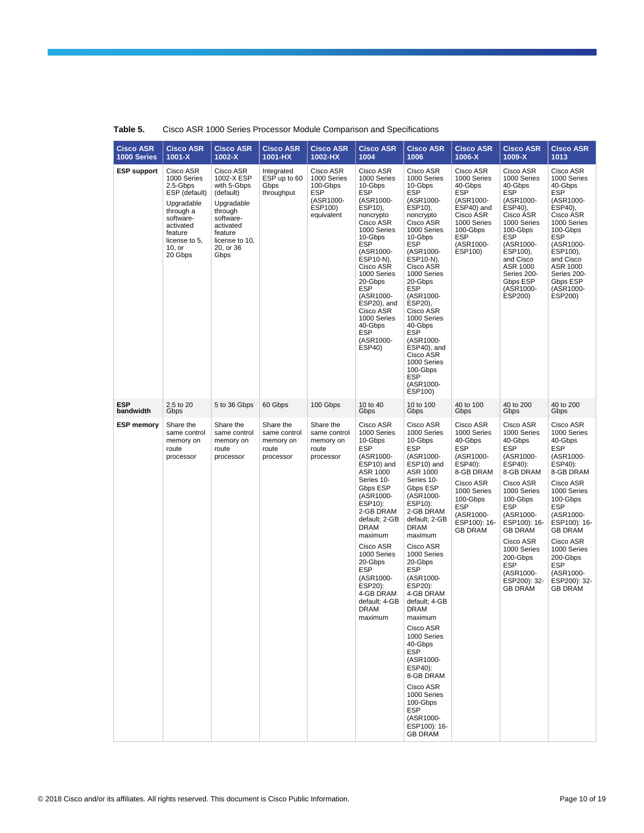| <b>Cisco ASR</b><br>1000 Series | <b>Cisco ASR</b><br>$1001-X$                                                                                                                                | <b>Cisco ASR</b><br>1002-X                                                                                                                               | <b>Cisco ASR</b><br>1001-HX                                  | <b>Cisco ASR</b><br>1002-HX                                                              | <b>Cisco ASR</b><br>1004                                                                                                                                                                                                                                                                                                                | <b>Cisco ASR</b><br>1006                                                                                                                                                                                                                                                                                                                                                                                                                                                                                                               | <b>Cisco ASR</b><br>1006-X                                                                                                                                                                  | <b>Cisco ASR</b><br>1009-X                                                                                                                                                                                                                                                                       | <b>Cisco ASR</b><br>1013                                                                                                                                                                                                                                                                         |
|---------------------------------|-------------------------------------------------------------------------------------------------------------------------------------------------------------|----------------------------------------------------------------------------------------------------------------------------------------------------------|--------------------------------------------------------------|------------------------------------------------------------------------------------------|-----------------------------------------------------------------------------------------------------------------------------------------------------------------------------------------------------------------------------------------------------------------------------------------------------------------------------------------|----------------------------------------------------------------------------------------------------------------------------------------------------------------------------------------------------------------------------------------------------------------------------------------------------------------------------------------------------------------------------------------------------------------------------------------------------------------------------------------------------------------------------------------|---------------------------------------------------------------------------------------------------------------------------------------------------------------------------------------------|--------------------------------------------------------------------------------------------------------------------------------------------------------------------------------------------------------------------------------------------------------------------------------------------------|--------------------------------------------------------------------------------------------------------------------------------------------------------------------------------------------------------------------------------------------------------------------------------------------------|
| <b>ESP</b> support              | Cisco ASR<br>1000 Series<br>2.5-Gbps<br>ESP (default)<br>Upgradable<br>through a<br>software-<br>activated<br>feature<br>license to 5,<br>10, or<br>20 Gbps | Cisco ASR<br>1002-X ESP<br>with 5-Gbps<br>(default)<br>Upgradable<br>through<br>software-<br>activated<br>feature<br>license to 10,<br>20, or 36<br>Gbps | Integrated<br>ESP up to 60<br>Gbps<br>throughput             | Cisco ASR<br>1000 Series<br>100-Gbps<br><b>ESP</b><br>(ASR1000-<br>ESP100)<br>equivalent | Cisco ASR<br>1000 Series<br>10-Gbps<br><b>ESP</b><br>(ASR1000-<br>ESP10),<br>noncrypto<br>Cisco ASR<br>1000 Series<br>10-Gbps<br>ESP<br>(ASR1000-<br>ESP10-N),<br>Cisco ASR<br>1000 Series<br>20-Gbps<br>ESP<br>(ASR1000-<br>ESP20), and<br>Cisco ASR<br>1000 Series<br>40-Gbps<br><b>ESP</b><br>(ASR1000-<br>ESP40)                    | Cisco ASR<br>1000 Series<br>10-Gbps<br><b>ESP</b><br>(ASR1000-<br>ESP10),<br>noncrypto<br>Cisco ASR<br>1000 Series<br>10-Gbps<br>ESP<br>(ASR1000-<br>ESP10-N),<br>Cisco ASR<br>1000 Series<br>20-Gbps<br>ESP<br>(ASR1000-<br>ESP20).<br>Cisco ASR<br>1000 Series<br>40-Gbps<br>ESP<br>(ASR1000-<br>ESP40), and<br>Cisco ASR<br>1000 Series<br>100-Gbps<br>ESP<br>(ASR1000-<br>ESP100)                                                                                                                                                  | Cisco ASR<br>1000 Series<br>40-Gbps<br><b>ESP</b><br>(ASR1000-<br>ESP40) and<br>Cisco ASR<br>1000 Series<br>100-Gbps<br><b>ESP</b><br>(ASR1000-<br>ESP100)                                  | Cisco ASR<br>1000 Series<br>40-Gbps<br><b>ESP</b><br>(ASR1000-<br>ESP40),<br>Cisco ASR<br>1000 Series<br>100-Gbps<br><b>ESP</b><br>(ASR1000-<br>ESP100),<br>and Cisco<br>ASR 1000<br>Series 200-<br>Gbps ESP<br>(ASR1000-<br>ESP200)                                                             | Cisco ASR<br>1000 Series<br>40-Gbps<br><b>ESP</b><br>(ASR1000-<br>ESP40),<br>Cisco ASR<br>1000 Series<br>100-Gbps<br><b>ESP</b><br>(ASR1000-<br>ESP100),<br>and Cisco<br>ASR 1000<br>Series 200-<br>Gbps ESP<br>(ASR1000-<br>ESP200)                                                             |
| <b>ESP</b><br>bandwidth         | 2.5 to 20<br>Gbps                                                                                                                                           | 5 to 36 Gbps                                                                                                                                             | 60 Gbps                                                      | 100 Gbps                                                                                 | 10 to 40<br>Gbps                                                                                                                                                                                                                                                                                                                        | 10 to 100<br>Gbps                                                                                                                                                                                                                                                                                                                                                                                                                                                                                                                      | 40 to 100<br>Gbps                                                                                                                                                                           | 40 to 200<br>Gbps                                                                                                                                                                                                                                                                                | 40 to 200<br>Gbps                                                                                                                                                                                                                                                                                |
| <b>ESP memory</b>               | Share the<br>same control<br>memory on<br>route<br>processor                                                                                                | Share the<br>same control<br>memory on<br>route<br>processor                                                                                             | Share the<br>same control<br>memory on<br>route<br>processor | Share the<br>same control<br>memory on<br>route<br>processor                             | Cisco ASR<br>1000 Series<br>10-Gbps<br><b>ESP</b><br>(ASR1000-<br>ESP10) and<br>ASR 1000<br>Series 10-<br>Gbps ESP<br>(ASR1000-<br>ESP10):<br>2-GB DRAM<br>default; 2-GB<br><b>DRAM</b><br>maximum<br>Cisco ASR<br>1000 Series<br>20-Gbps<br><b>ESP</b><br>(ASR1000-<br>ESP20):<br>4-GB DRAM<br>default; 4-GB<br><b>DRAM</b><br>maximum | Cisco ASR<br>1000 Series<br>10-Gbps<br><b>ESP</b><br>(ASR1000-<br>ESP10) and<br>ASR 1000<br>Series 10-<br>Gbps ESP<br>(ASR1000-<br>ESP10):<br>2-GB DRAM<br>default; 2-GB<br><b>DRAM</b><br>maximum<br>Cisco ASR<br>1000 Series<br>20-Gbps<br><b>ESP</b><br>(ASR1000-<br>ESP20):<br>4-GB DRAM<br>default; 4-GB<br><b>DRAM</b><br>maximum<br>Cisco ASR<br>1000 Series<br>40-Gbps<br><b>ESP</b><br>(ASR1000-<br>ESP40):<br>8-GB DRAM<br>Cisco ASR<br>1000 Series<br>100-Gbps<br><b>ESP</b><br>(ASR1000-<br>ESP100): 16-<br><b>GB DRAM</b> | Cisco ASR<br>1000 Series<br>40-Gbps<br><b>ESP</b><br>(ASR1000-<br>ESP40):<br>8-GB DRAM<br>Cisco ASR<br>1000 Series<br>100-Gbps<br><b>ESP</b><br>(ASR1000-<br>ESP100): 16-<br><b>GB DRAM</b> | Cisco ASR<br>1000 Series<br>40-Gbps<br><b>ESP</b><br>(ASR1000-<br>ESP40):<br>8-GB DRAM<br>Cisco ASR<br>1000 Series<br>100-Gbps<br><b>ESP</b><br>(ASR1000-<br>ESP100): 16-<br><b>GB DRAM</b><br>Cisco ASR<br>1000 Series<br>200-Gbps<br><b>ESP</b><br>(ASR1000-<br>ESP200): 32-<br><b>GB DRAM</b> | Cisco ASR<br>1000 Series<br>40-Gbps<br><b>ESP</b><br>(ASR1000-<br>ESP40):<br>8-GB DRAM<br>Cisco ASR<br>1000 Series<br>100-Gbps<br><b>ESP</b><br>(ASR1000-<br>ESP100): 16-<br><b>GB DRAM</b><br>Cisco ASR<br>1000 Series<br>200-Gbps<br><b>ESP</b><br>(ASR1000-<br>ESP200): 32-<br><b>GB DRAM</b> |

## **Table 5.** Cisco ASR 1000 Series Processor Module Comparison and Specifications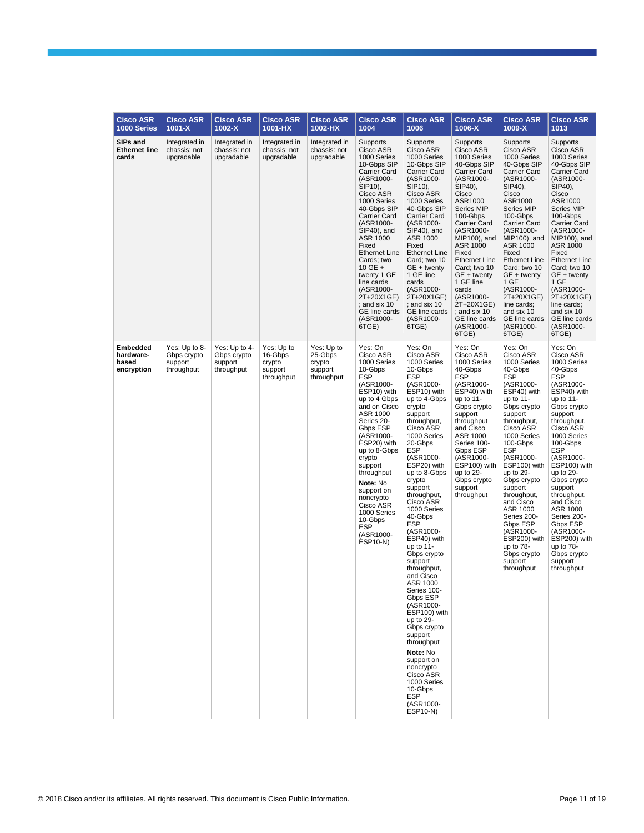| <b>Cisco ASR</b><br>1000 Series              | <b>Cisco ASR</b><br>$1001 - X$                        | <b>Cisco ASR</b><br>1002-X                            | <b>Cisco ASR</b><br>1001-HX                              | <b>Cisco ASR</b><br>1002-HX                              | <b>Cisco ASR</b><br>1004                                                                                                                                                                                                                                                                                                                                                  | <b>Cisco ASR</b><br>1006                                                                                                                                                                                                                                                                                                                                                                                                                                                                                                                                                                                                                                                                   | <b>Cisco ASR</b><br>1006-X                                                                                                                                                                                                                                                                                                                                                                      | <b>Cisco ASR</b><br>1009-X                                                                                                                                                                                                                                                                                                                                                                                                    | <b>Cisco ASR</b><br>1013                                                                                                                                                                                                                                                                                                                                                                                                      |
|----------------------------------------------|-------------------------------------------------------|-------------------------------------------------------|----------------------------------------------------------|----------------------------------------------------------|---------------------------------------------------------------------------------------------------------------------------------------------------------------------------------------------------------------------------------------------------------------------------------------------------------------------------------------------------------------------------|--------------------------------------------------------------------------------------------------------------------------------------------------------------------------------------------------------------------------------------------------------------------------------------------------------------------------------------------------------------------------------------------------------------------------------------------------------------------------------------------------------------------------------------------------------------------------------------------------------------------------------------------------------------------------------------------|-------------------------------------------------------------------------------------------------------------------------------------------------------------------------------------------------------------------------------------------------------------------------------------------------------------------------------------------------------------------------------------------------|-------------------------------------------------------------------------------------------------------------------------------------------------------------------------------------------------------------------------------------------------------------------------------------------------------------------------------------------------------------------------------------------------------------------------------|-------------------------------------------------------------------------------------------------------------------------------------------------------------------------------------------------------------------------------------------------------------------------------------------------------------------------------------------------------------------------------------------------------------------------------|
| SIPs and<br><b>Ethernet line</b><br>cards    | Integrated in<br>chassis; not<br>upgradable           | Integrated in<br>chassis: not<br>upgradable           | Integrated in<br>chassis: not<br>upgradable              | Integrated in<br>chassis: not<br>upgradable              | Supports<br>Cisco ASR<br>1000 Series<br>10-Gbps SIP<br>Carrier Card<br>(ASR1000-<br>SIP10),<br>Cisco ASR<br>1000 Series<br>40-Gbps SIP<br>Carrier Card<br>(ASR1000-<br>SIP40), and<br>ASR 1000<br>Fixed<br><b>Ethernet Line</b><br>Cards; two<br>10 GE $+$<br>twenty 1 GE<br>line cards<br>(ASR1000-<br>2T+20X1GE)<br>; and six 10<br>GE line cards<br>(ASR1000-<br>6TGE) | Supports<br>Cisco ASR<br>1000 Series<br>10-Gbps SIP<br><b>Carrier Card</b><br>(ASR1000-<br>SIP10),<br>Cisco ASR<br>1000 Series<br>40-Gbps SIP<br><b>Carrier Card</b><br>(ASR1000-<br>SIP40), and<br>ASR 1000<br>Fixed<br><b>Ethernet Line</b><br>Card; two 10<br>GE + twenty<br>1 GE line<br>cards<br>(ASR1000-<br>2T+20X1GE)<br>; and six 10<br>GE line cards<br>(ASR1000-<br>6TGE)                                                                                                                                                                                                                                                                                                       | Supports<br>Cisco ASR<br>1000 Series<br>40-Gbps SIP<br><b>Carrier Card</b><br>(ASR1000-<br>SIP40),<br>Cisco<br>ASR1000<br>Series MIP<br>100-Gbps<br><b>Carrier Card</b><br>(ASR1000-<br>MIP100), and<br><b>ASR 1000</b><br>Fixed<br><b>Ethernet Line</b><br>Card; two 10<br>GE + twenty<br>1 GE line<br>cards<br>(ASR1000-<br>2T+20X1GE)<br>; and six 10<br>GE line cards<br>(ASR1000-<br>6TGE) | Supports<br>Cisco ASR<br>1000 Series<br>40-Gbps SIP<br>Carrier Card<br>(ASR1000-<br>SIP40),<br>Cisco<br>ASR1000<br>Series MIP<br>100-Gbps<br>Carrier Card<br>(ASR1000-<br>MIP100), and<br>ASR 1000<br>Fixed<br><b>Ethernet Line</b><br>Card; two 10<br>GE + twenty<br>1 GE<br>(ASR1000-<br>2T+20X1GE)<br>line cards;<br>and six 10<br>GE line cards<br>(ASR1000-<br>6TGE)                                                     | Supports<br>Cisco ASR<br>1000 Series<br>40-Gbps SIP<br><b>Carrier Card</b><br>(ASR1000-<br>SIP40),<br>Cisco<br>ASR1000<br>Series MIP<br>100-Gbps<br><b>Carrier Card</b><br>(ASR1000-<br>MIP100), and<br>ASR 1000<br>Fixed<br><b>Ethernet Line</b><br>Card; two 10<br>GE + twenty<br>1 GE<br>(ASR1000-<br>2T+20X1GE)<br>line cards;<br>and six 10<br>GE line cards<br>(ASR1000-<br>6TGE)                                       |
| Embedded<br>hardware-<br>based<br>encryption | Yes: Up to 8-<br>Gbps crypto<br>support<br>throughput | Yes: Up to 4-<br>Gbps crypto<br>support<br>throughput | Yes: Up to<br>16-Gbps<br>crypto<br>support<br>throughput | Yes: Up to<br>25-Gbps<br>crypto<br>support<br>throughput | Yes: On<br>Cisco ASR<br>1000 Series<br>10-Gbps<br><b>ESP</b><br>(ASR1000-<br>ESP10) with<br>up to 4 Gbps<br>and on Cisco<br>ASR 1000<br>Series 20-<br>Gbps ESP<br>(ASR1000-<br>ESP20) with<br>up to 8-Gbps<br>crypto<br>support<br>throughput<br>Note: No<br>support on<br>noncrypto<br>Cisco ASR<br>1000 Series<br>10-Gbps<br>ESP<br>(ASR1000-<br><b>ESP10-N)</b>        | Yes: On<br>Cisco ASR<br>1000 Series<br>10-Gbps<br><b>ESP</b><br>(ASR1000-<br>ESP10) with<br>up to 4-Gbps<br>crypto<br>support<br>throughput,<br>Cisco ASR<br>1000 Series<br>20-Gbps<br><b>ESP</b><br>(ASR1000-<br>ESP20) with<br>up to 8-Gbps<br>crypto<br>support<br>throughput,<br>Cisco ASR<br>1000 Series<br>40-Gbps<br><b>ESP</b><br>(ASR1000-<br>ESP40) with<br>up to 11-<br>Gbps crypto<br>support<br>throughput,<br>and Cisco<br>ASR 1000<br>Series 100-<br>Gbps ESP<br>(ASR1000-<br>ESP100) with<br>up to 29-<br>Gbps crypto<br>support<br>throughput<br>Note: No<br>support on<br>noncrypto<br>Cisco ASR<br>1000 Series<br>10-Gbps<br><b>ESP</b><br>(ASR1000-<br><b>ESP10-N)</b> | Yes: On<br>Cisco ASR<br>1000 Series<br>40-Gbps<br><b>ESP</b><br>(ASR1000-<br>ESP40) with<br>up to $11$ -<br>Gbps crypto<br>support<br>throughput<br>and Cisco<br>ASR 1000<br>Series 100-<br>Gbps ESP<br>(ASR1000-<br>ESP100) with<br>up to 29-<br>Gbps crypto<br>support<br>throughput                                                                                                          | Yes: On<br>Cisco ASR<br>1000 Series<br>40-Gbps<br><b>ESP</b><br>(ASR1000-<br>ESP40) with<br>up to 11-<br>Gbps crypto<br>support<br>throughput,<br>Cisco ASR<br>1000 Series<br>100-Gbps<br><b>ESP</b><br>(ASR1000-<br>ESP100) with<br>up to 29-<br>Gbps crypto<br>support<br>throughput,<br>and Cisco<br>ASR 1000<br>Series 200-<br>Gbps ESP<br>(ASR1000-<br>ESP200) with<br>up to 78-<br>Gbps crypto<br>support<br>throughput | Yes: On<br>Cisco ASR<br>1000 Series<br>40-Gbps<br><b>ESP</b><br>(ASR1000-<br>ESP40) with<br>up to 11-<br>Gbps crypto<br>support<br>throughput,<br>Cisco ASR<br>1000 Series<br>100-Gbps<br><b>ESP</b><br>(ASR1000-<br>ESP100) with<br>up to 29-<br>Gbps crypto<br>support<br>throughput,<br>and Cisco<br>ASR 1000<br>Series 200-<br>Gbps ESP<br>(ASR1000-<br>ESP200) with<br>up to 78-<br>Gbps crypto<br>support<br>throughput |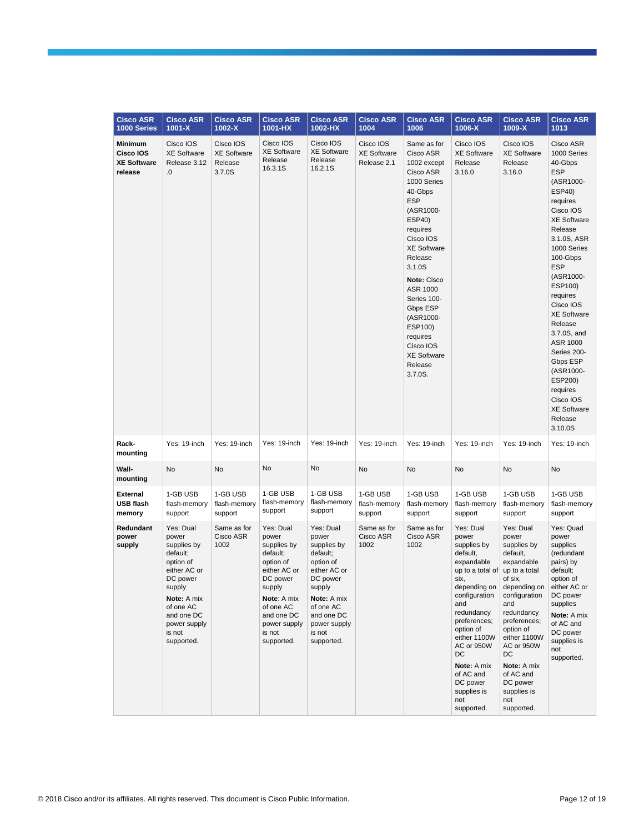| <b>Cisco ASR</b><br>1000 Series                              | <b>Cisco ASR</b><br>$1001 - X$                                                                                                                                                     | <b>Cisco ASR</b><br>1002-X                           | <b>Cisco ASR</b><br>1001-HX                                                                                                                                                        | <b>Cisco ASR</b><br>1002-HX                                                                                                                                                        | <b>Cisco ASR</b><br>1004                       | <b>Cisco ASR</b><br>1006                                                                                                                                                                                                                                                                                                                   | <b>Cisco ASR</b><br>1006-X                                                                                                                                                                                                                                                                 | <b>Cisco ASR</b><br>1009-X                                                                                                                                                                                                                                                                 | <b>Cisco ASR</b><br>1013                                                                                                                                                                                                                                                                                                                                                                                                               |
|--------------------------------------------------------------|------------------------------------------------------------------------------------------------------------------------------------------------------------------------------------|------------------------------------------------------|------------------------------------------------------------------------------------------------------------------------------------------------------------------------------------|------------------------------------------------------------------------------------------------------------------------------------------------------------------------------------|------------------------------------------------|--------------------------------------------------------------------------------------------------------------------------------------------------------------------------------------------------------------------------------------------------------------------------------------------------------------------------------------------|--------------------------------------------------------------------------------------------------------------------------------------------------------------------------------------------------------------------------------------------------------------------------------------------|--------------------------------------------------------------------------------------------------------------------------------------------------------------------------------------------------------------------------------------------------------------------------------------------|----------------------------------------------------------------------------------------------------------------------------------------------------------------------------------------------------------------------------------------------------------------------------------------------------------------------------------------------------------------------------------------------------------------------------------------|
| <b>Minimum</b><br>Cisco IOS<br><b>XE Software</b><br>release | Cisco IOS<br><b>XE Software</b><br>Release 3.12<br>0.                                                                                                                              | Cisco IOS<br><b>XE Software</b><br>Release<br>3.7.0S | Cisco IOS<br><b>XE Software</b><br>Release<br>16.3.1S                                                                                                                              | Cisco IOS<br><b>XE Software</b><br>Release<br>16.2.1S                                                                                                                              | Cisco IOS<br><b>XE Software</b><br>Release 2.1 | Same as for<br>Cisco ASR<br>1002 except<br>Cisco ASR<br>1000 Series<br>40-Gbps<br><b>ESP</b><br>(ASR1000-<br>ESP40)<br>requires<br>Cisco IOS<br><b>XE Software</b><br>Release<br>3.1.0S<br>Note: Cisco<br>ASR 1000<br>Series 100-<br>Gbps ESP<br>(ASR1000-<br>ESP100)<br>requires<br>Cisco IOS<br><b>XE Software</b><br>Release<br>3.7.0S. | Cisco IOS<br><b>XE Software</b><br>Release<br>3.16.0                                                                                                                                                                                                                                       | Cisco IOS<br><b>XE Software</b><br>Release<br>3.16.0                                                                                                                                                                                                                                       | Cisco ASR<br>1000 Series<br>40-Gbps<br><b>ESP</b><br>(ASR1000-<br><b>ESP40)</b><br>requires<br>Cisco IOS<br><b>XE Software</b><br>Release<br>3.1.0S, ASR<br>1000 Series<br>100-Gbps<br><b>ESP</b><br>(ASR1000-<br>ESP100)<br>requires<br>Cisco IOS<br><b>XE Software</b><br>Release<br>3.7.0S, and<br>ASR 1000<br>Series 200-<br>Gbps ESP<br>(ASR1000-<br>ESP200)<br>requires<br>Cisco IOS<br><b>XE Software</b><br>Release<br>3.10.0S |
| Rack-<br>mounting                                            | Yes: 19-inch                                                                                                                                                                       | Yes: 19-inch                                         | Yes: 19-inch                                                                                                                                                                       | Yes: 19-inch                                                                                                                                                                       | Yes: 19-inch                                   | Yes: 19-inch                                                                                                                                                                                                                                                                                                                               | Yes: 19-inch                                                                                                                                                                                                                                                                               | Yes: 19-inch                                                                                                                                                                                                                                                                               | Yes: 19-inch                                                                                                                                                                                                                                                                                                                                                                                                                           |
| Wall-<br>mounting                                            | No                                                                                                                                                                                 | No                                                   | No                                                                                                                                                                                 | No                                                                                                                                                                                 | No                                             | No                                                                                                                                                                                                                                                                                                                                         | No                                                                                                                                                                                                                                                                                         | No                                                                                                                                                                                                                                                                                         | No                                                                                                                                                                                                                                                                                                                                                                                                                                     |
| <b>External</b><br><b>USB flash</b><br>memory                | 1-GB USB<br>flash-memory<br>support                                                                                                                                                | 1-GB USB<br>flash-memory<br>support                  | 1-GB USB<br>flash-memory<br>support                                                                                                                                                | 1-GB USB<br>flash-memory<br>support                                                                                                                                                | 1-GB USB<br>flash-memory<br>support            | 1-GB USB<br>flash-memory<br>support                                                                                                                                                                                                                                                                                                        | 1-GB USB<br>flash-memory<br>support                                                                                                                                                                                                                                                        | 1-GB USB<br>flash-memory<br>support                                                                                                                                                                                                                                                        | 1-GB USB<br>flash-memory<br>support                                                                                                                                                                                                                                                                                                                                                                                                    |
| Redundant<br>power<br>supply                                 | Yes: Dual<br>power<br>supplies by<br>default;<br>option of<br>either AC or<br>DC power<br>supply<br>Note: A mix<br>of one AC<br>and one DC<br>power supply<br>is not<br>supported. | Same as for<br>Cisco ASR<br>1002                     | Yes: Dual<br>power<br>supplies by<br>default;<br>option of<br>either AC or<br>DC power<br>supply<br>Note: A mix<br>of one AC<br>and one DC<br>power supply<br>is not<br>supported. | Yes: Dual<br>power<br>supplies by<br>default;<br>option of<br>either AC or<br>DC power<br>supply<br>Note: A mix<br>of one AC<br>and one DC<br>power supply<br>is not<br>supported. | Same as for<br>Cisco ASR<br>1002               | Same as for<br>Cisco ASR<br>1002                                                                                                                                                                                                                                                                                                           | Yes: Dual<br>power<br>supplies by<br>default,<br>expandable<br>up to a total of<br>six,<br>depending on<br>configuration<br>and<br>redundancy<br>preferences;<br>option of<br>either 1100W<br>AC or 950W<br>DC<br>Note: A mix<br>of AC and<br>DC power<br>supplies is<br>not<br>supported. | Yes: Dual<br>power<br>supplies by<br>default,<br>expandable<br>up to a total<br>of six,<br>depending on<br>configuration<br>and<br>redundancy<br>preferences;<br>option of<br>either 1100W<br>AC or 950W<br>DC<br>Note: A mix<br>of AC and<br>DC power<br>supplies is<br>not<br>supported. | Yes: Quad<br>power<br>supplies<br>(redundant<br>pairs) by<br>default;<br>option of<br>either AC or<br>DC power<br>supplies<br>Note: A mix<br>of AC and<br>DC power<br>supplies is<br>not<br>supported.                                                                                                                                                                                                                                 |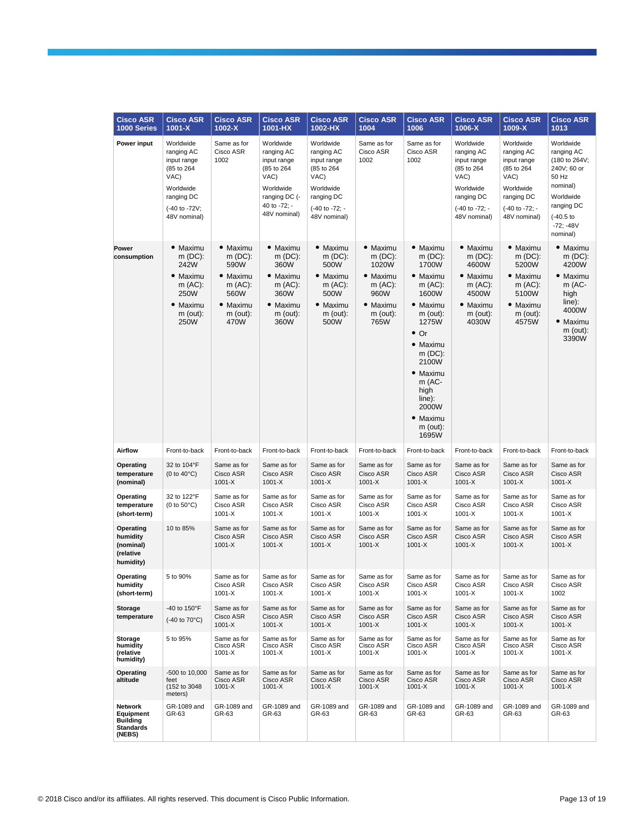| <b>Cisco ASR</b><br>1000 Series                                              | <b>Cisco ASR</b><br>1001-X                                                                                               | <b>Cisco ASR</b><br>$1002-X$                                                                     | <b>Cisco ASR</b><br>1001-HX                                                                                                | <b>Cisco ASR</b><br>1002-HX                                                                                               | <b>Cisco ASR</b><br>1004                                                                        | <b>Cisco ASR</b><br>1006                                                                                                                                                                                                                       | <b>Cisco ASR</b><br>1006-X                                                                                                | <b>Cisco ASR</b><br>1009-X                                                                                                | <b>Cisco ASR</b><br>1013                                                                                                                        |
|------------------------------------------------------------------------------|--------------------------------------------------------------------------------------------------------------------------|--------------------------------------------------------------------------------------------------|----------------------------------------------------------------------------------------------------------------------------|---------------------------------------------------------------------------------------------------------------------------|-------------------------------------------------------------------------------------------------|------------------------------------------------------------------------------------------------------------------------------------------------------------------------------------------------------------------------------------------------|---------------------------------------------------------------------------------------------------------------------------|---------------------------------------------------------------------------------------------------------------------------|-------------------------------------------------------------------------------------------------------------------------------------------------|
| Power input                                                                  | Worldwide<br>ranging AC<br>input range<br>(85 to 264<br>VAC)<br>Worldwide<br>ranging DC<br>(-40 to -72V;<br>48V nominal) | Same as for<br>Cisco ASR<br>1002                                                                 | Worldwide<br>ranging AC<br>input range<br>(85 to 264<br>VAC)<br>Worldwide<br>ranging DC (-<br>40 to -72; -<br>48V nominal) | Worldwide<br>ranging AC<br>input range<br>(85 to 264<br>VAC)<br>Worldwide<br>ranging DC<br>(-40 to -72; -<br>48V nominal) | Same as for<br>Cisco ASR<br>1002                                                                | Same as for<br>Cisco ASR<br>1002                                                                                                                                                                                                               | Worldwide<br>ranging AC<br>input range<br>(85 to 264<br>VAC)<br>Worldwide<br>ranging DC<br>(-40 to -72; -<br>48V nominal) | Worldwide<br>ranging AC<br>input range<br>(85 to 264<br>VAC)<br>Worldwide<br>ranging DC<br>(-40 to -72; -<br>48V nominal) | Worldwide<br>ranging AC<br>(180 to 264V;<br>240V; 60 or<br>50 Hz<br>nominal)<br>Worldwide<br>ranging DC<br>$(-40.5)$<br>$-72: -48V$<br>nominal) |
| Power<br>consumption                                                         | • Maximu<br>$m(DC)$ :<br>242W<br>• Maximu<br>$m(AC)$ :<br>250W<br>• Maximu<br>$m$ (out):<br><b>250W</b>                  | • Maximu<br>$m(DC)$ :<br>590W<br>• Maximu<br>$m(AC)$ :<br>560W<br>• Maximu<br>$m$ (out):<br>470W | • Maximu<br>$m(DC)$ :<br>360W<br>• Maximu<br>m (AC):<br>360W<br>• Maximu<br>m (out):<br>360W                               | • Maximu<br>$m(DC)$ :<br>500W<br>• Maximu<br>m (AC):<br>500W<br>• Maximu<br>m (out):<br>500W                              | • Maximu<br>$m(DC)$ :<br>1020W<br>• Maximu<br>m (AC):<br>960W<br>• Maximu<br>$m$ (out):<br>765W | • Maximu<br>$m(DC)$ :<br>1700W<br>• Maximu<br>$m(AC)$ :<br>1600W<br>• Maximu<br>$m$ (out):<br>1275W<br>$\bullet$ Or<br>• Maximu<br>$m(DC)$ :<br>2100W<br>• Maximu<br>$m$ (AC-<br>high<br>$line)$ :<br>2000W<br>• Maximu<br>$m$ (out):<br>1695W | • Maximu<br>$m(DC)$ :<br>4600W<br>• Maximu<br>$m(AC)$ :<br>4500W<br>• Maximu<br>$m$ (out):<br>4030W                       | • Maximu<br>$m(DC)$ :<br>5200W<br>• Maximu<br>m (AC):<br>5100W<br>• Maximu<br>m (out):<br>4575W                           | • Maximu<br>$m(DC)$ :<br>4200W<br>• Maximu<br>m (AC-<br>high<br>$line)$ :<br>4000W<br>• Maximu<br>$m$ (out):<br>3390W                           |
| Airflow                                                                      | Front-to-back                                                                                                            | Front-to-back                                                                                    | Front-to-back                                                                                                              | Front-to-back                                                                                                             | Front-to-back                                                                                   | Front-to-back                                                                                                                                                                                                                                  | Front-to-back                                                                                                             | Front-to-back                                                                                                             | Front-to-back                                                                                                                                   |
| Operating<br>temperature<br>(nominal)                                        | 32 to 104°F<br>$(0 to 40^{\circ}C)$                                                                                      | Same as for<br>Cisco ASR<br>$1001 - X$                                                           | Same as for<br>Cisco ASR<br>$1001 - X$                                                                                     | Same as for<br>Cisco ASR<br>$1001 - X$                                                                                    | Same as for<br>Cisco ASR<br>$1001 - X$                                                          | Same as for<br>Cisco ASR<br>$1001 - X$                                                                                                                                                                                                         | Same as for<br>Cisco ASR<br>$1001 - X$                                                                                    | Same as for<br>Cisco ASR<br>$1001 - X$                                                                                    | Same as for<br>Cisco ASR<br>$1001 - X$                                                                                                          |
| Operating<br>temperature<br>(short-term)                                     | 32 to 122°F<br>(0 to $50^{\circ}$ C)                                                                                     | Same as for<br>Cisco ASR<br>1001-X                                                               | Same as for<br>Cisco ASR<br>1001-X                                                                                         | Same as for<br>Cisco ASR<br>1001-X                                                                                        | Same as for<br>Cisco ASR<br>1001-X                                                              | Same as for<br>Cisco ASR<br>$1001 - X$                                                                                                                                                                                                         | Same as for<br>Cisco ASR<br>1001-X                                                                                        | Same as for<br>Cisco ASR<br>$1001 - X$                                                                                    | Same as for<br>Cisco ASR<br>1001-X                                                                                                              |
| Operating<br>humidity<br>(nominal)<br>(relative<br>humidity)                 | 10 to 85%                                                                                                                | Same as for<br>Cisco ASR<br>$1001 - X$                                                           | Same as for<br>Cisco ASR<br>$1001 - X$                                                                                     | Same as for<br>Cisco ASR<br>$1001 - X$                                                                                    | Same as for<br>Cisco ASR<br>$1001 - X$                                                          | Same as for<br>Cisco ASR<br>$1001 - X$                                                                                                                                                                                                         | Same as for<br>Cisco ASR<br>1001-X                                                                                        | Same as for<br>Cisco ASR<br>$1001 - X$                                                                                    | Same as for<br>Cisco ASR<br>$1001 - X$                                                                                                          |
| Operating<br>humidity<br>(short-term)                                        | 5 to 90%                                                                                                                 | Same as for<br>Cisco ASR<br>$1001 - X$                                                           | Same as for<br>Cisco ASR<br>1001-X                                                                                         | Same as for<br>Cisco ASR<br>$1001 - X$                                                                                    | Same as for<br>Cisco ASR<br>1001-X                                                              | Same as for<br>Cisco ASR<br>$1001 - X$                                                                                                                                                                                                         | Same as for<br>Cisco ASR<br>1001-X                                                                                        | Same as for<br>Cisco ASR<br>$1001 - X$                                                                                    | Same as for<br>Cisco ASR<br>1002                                                                                                                |
| Storage<br>temperature                                                       | -40 to 150°F<br>(-40 to 70°C)                                                                                            | Same as for<br>Cisco ASR<br>$1001 - X$                                                           | Same as for<br>Cisco ASR<br>$1001 - X$                                                                                     | Same as for<br>Cisco ASR<br>$1001 - X$                                                                                    | Same as for<br>Cisco ASR<br>$1001 - X$                                                          | Same as for<br>Cisco ASR<br>$1001 - X$                                                                                                                                                                                                         | Same as for<br>Cisco ASR<br>$1001 - X$                                                                                    | Same as for<br>Cisco ASR<br>$1001 - X$                                                                                    | Same as for<br>Cisco ASR<br>$1001 - X$                                                                                                          |
| Storage<br>humidity<br>(relative<br>humidity)                                | 5 to 95%                                                                                                                 | Same as for<br>Cisco ASR<br>$1001 - X$                                                           | Same as for<br>Cisco ASR<br>$1001 - X$                                                                                     | Same as for<br>Cisco ASR<br>$1001 - X$                                                                                    | Same as for<br>Cisco ASR<br>1001-X                                                              | Same as for<br>Cisco ASR<br>$1001 - X$                                                                                                                                                                                                         | Same as for<br>Cisco ASR<br>1001-X                                                                                        | Same as for<br>Cisco ASR<br>$1001 - X$                                                                                    | Same as for<br>Cisco ASR<br>1001-X                                                                                                              |
| Operating<br>altitude                                                        | -500 to 10,000<br>feet<br>(152 to 3048)<br>meters)                                                                       | Same as for<br>Cisco ASR<br>$1001 - X$                                                           | Same as for<br>Cisco ASR<br>$1001 - X$                                                                                     | Same as for<br>Cisco ASR<br>$1001 - X$                                                                                    | Same as for<br>Cisco ASR<br>1001-X                                                              | Same as for<br>Cisco ASR<br>$1001 - X$                                                                                                                                                                                                         | Same as for<br>Cisco ASR<br>$1001 - X$                                                                                    | Same as for<br>Cisco ASR<br>$1001 - X$                                                                                    | Same as for<br>Cisco ASR<br>1001-X                                                                                                              |
| <b>Network</b><br>Equipment<br><b>Building</b><br><b>Standards</b><br>(NEBS) | GR-1089 and<br>GR-63                                                                                                     | GR-1089 and<br>GR-63                                                                             | GR-1089 and<br>GR-63                                                                                                       | GR-1089 and<br>GR-63                                                                                                      | GR-1089 and<br>GR-63                                                                            | GR-1089 and<br>GR-63                                                                                                                                                                                                                           | GR-1089 and<br>GR-63                                                                                                      | GR-1089 and<br>GR-63                                                                                                      | GR-1089 and<br>GR-63                                                                                                                            |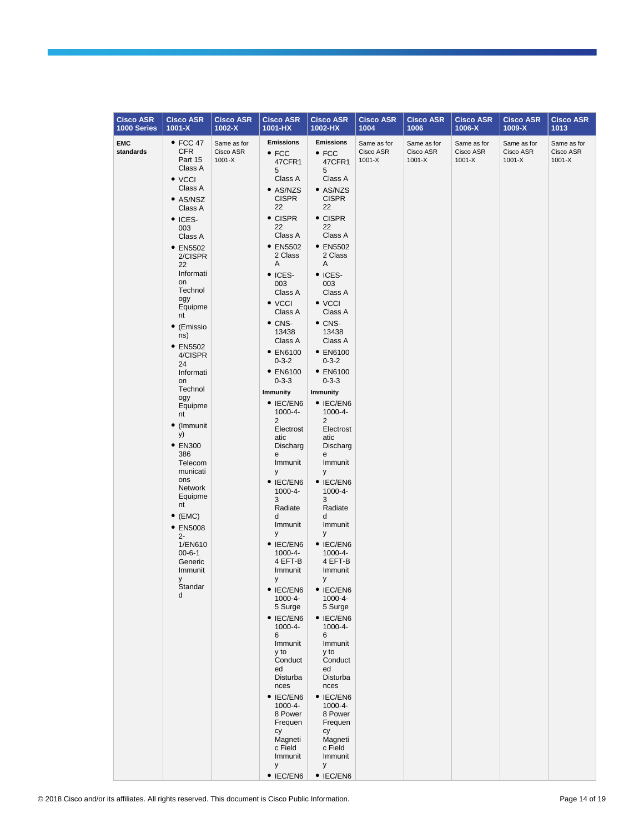| <b>Cisco ASR</b>        | <b>Cisco ASR</b>                                                                                                                                                                                                                                                                                                                                                                                                                                                                                                                                     | <b>Cisco ASR</b>                       | <b>Cisco ASR</b>                                                                                                                                                                                                                                                                                                                                                                                                                                                                                                                                                                                                                                                                                                                                                                                                                           | <b>Cisco ASR</b>                                                                                                                                                                                                                                                                                                                                                                                                                                                                                                                                                                                                                                                                                                                                                                                                                                        | <b>Cisco ASR</b>                       | <b>Cisco ASR</b>                       | <b>Cisco ASR</b>                       | <b>Cisco ASR</b>                       | <b>Cisco ASR</b>                       |
|-------------------------|------------------------------------------------------------------------------------------------------------------------------------------------------------------------------------------------------------------------------------------------------------------------------------------------------------------------------------------------------------------------------------------------------------------------------------------------------------------------------------------------------------------------------------------------------|----------------------------------------|--------------------------------------------------------------------------------------------------------------------------------------------------------------------------------------------------------------------------------------------------------------------------------------------------------------------------------------------------------------------------------------------------------------------------------------------------------------------------------------------------------------------------------------------------------------------------------------------------------------------------------------------------------------------------------------------------------------------------------------------------------------------------------------------------------------------------------------------|---------------------------------------------------------------------------------------------------------------------------------------------------------------------------------------------------------------------------------------------------------------------------------------------------------------------------------------------------------------------------------------------------------------------------------------------------------------------------------------------------------------------------------------------------------------------------------------------------------------------------------------------------------------------------------------------------------------------------------------------------------------------------------------------------------------------------------------------------------|----------------------------------------|----------------------------------------|----------------------------------------|----------------------------------------|----------------------------------------|
| 1000 Series             | $1001 - X$                                                                                                                                                                                                                                                                                                                                                                                                                                                                                                                                           | $1002 - X$                             | 1001-HX                                                                                                                                                                                                                                                                                                                                                                                                                                                                                                                                                                                                                                                                                                                                                                                                                                    | 1002-HX                                                                                                                                                                                                                                                                                                                                                                                                                                                                                                                                                                                                                                                                                                                                                                                                                                                 | 1004                                   | 1006                                   | 1006-X                                 | $1009-X$                               | 1013                                   |
| <b>EMC</b><br>standards | $\bullet$ FCC 47<br><b>CFR</b><br>Part 15<br>Class A<br>$\bullet$ VCCI<br>Class A<br>• AS/NSZ<br>Class A<br>• ICES-<br>003<br>Class A<br>• EN5502<br>2/CISPR<br>22<br>Informati<br>on<br>Technol<br>ogy<br>Equipme<br>nt<br>(Emissio<br>ns)<br>• EN5502<br>4/CISPR<br>24<br>Informati<br>on<br>Technol<br>ogy<br>Equipme<br>nt<br>• (Immunit<br>y)<br>$\bullet$ EN300<br>386<br>Telecom<br>municati<br>ons<br>Network<br>Equipme<br>nt<br>$\bullet$ (EMC)<br>• EN5008<br>$2 -$<br>1/EN610<br>$00 - 6 - 1$<br>Generic<br>Immunit<br>У<br>Standar<br>d | Same as for<br>Cisco ASR<br>$1001 - X$ | <b>Emissions</b><br>$\bullet$ FCC<br>47CFR1<br>5<br>Class A<br>• AS/NZS<br><b>CISPR</b><br>22<br>$\bullet$ CISPR<br>22<br>Class A<br>• EN5502<br>2 Class<br>Α<br>• ICES-<br>003<br>Class A<br>• VCCI<br>Class A<br>$\bullet$ CNS-<br>13438<br>Class A<br>• EN6100<br>$0 - 3 - 2$<br>• EN6100<br>$0 - 3 - 3$<br><b>Immunity</b><br>$\bullet$ IEC/EN6<br>1000-4-<br>$\overline{2}$<br>Electrost<br>atic<br>Discharg<br>e<br>Immunit<br>У<br>$\bullet$ IEC/EN6<br>1000-4-<br>3<br>Radiate<br>d<br>Immunit<br>У<br>$\bullet$ IEC/EN6<br>1000-4-<br>4 EFT-B<br>Immunit<br>У<br>$\bullet$ IEC/EN6<br>1000-4-<br>5 Surge<br>$\bullet$ IEC/EN6<br>$1000 - 4 -$<br>6<br>Immunit<br>y to<br>Conduct<br>ed<br>Disturba<br>nces<br>$\bullet$ IEC/EN6<br>1000-4-<br>8 Power<br>Frequen<br>cy<br>Magneti<br>c Field<br>Immunit<br>y<br>$\bullet$ IEC/EN6 | <b>Emissions</b><br>$\bullet$ FCC<br>47CFR1<br>5<br>Class A<br>• AS/NZS<br><b>CISPR</b><br>22<br>$\bullet$ CISPR<br>22<br>Class A<br>• EN5502<br>2 Class<br>Α<br>$\bullet$ ICES-<br>003<br>Class A<br>$\bullet$ VCCI<br>Class A<br>$\bullet$ CNS-<br>13438<br>Class A<br>• EN6100<br>$0 - 3 - 2$<br>• EN6100<br>$0 - 3 - 3$<br><b>Immunity</b><br>$\bullet$ IEC/EN6<br>1000-4-<br>2<br>Electrost<br>atic<br>Discharg<br>е<br>Immunit<br>У<br>$\bullet$ IEC/EN6<br>1000-4-<br>3<br>Radiate<br>d<br>Immunit<br>У<br>$\bullet$ IEC/EN6<br>1000-4-<br>4 EFT-B<br>Immunit<br>у<br>$\bullet$ IEC/EN6<br>$1000 - 4 -$<br>5 Surge<br>$\bullet$ IEC/EN6<br>$1000 - 4 -$<br>6<br>Immunit<br>y to<br>Conduct<br>ed<br>Disturba<br>nces<br>$\bullet$ IEC/EN6<br>$1000 - 4 -$<br>8 Power<br>Frequen<br>сy<br>Magneti<br>c Field<br>Immunit<br>У<br>$\bullet$ IEC/EN6 | Same as for<br>Cisco ASR<br>$1001 - X$ | Same as for<br>Cisco ASR<br>$1001 - X$ | Same as for<br>Cisco ASR<br>$1001 - X$ | Same as for<br>Cisco ASR<br>$1001 - X$ | Same as for<br>Cisco ASR<br>$1001 - X$ |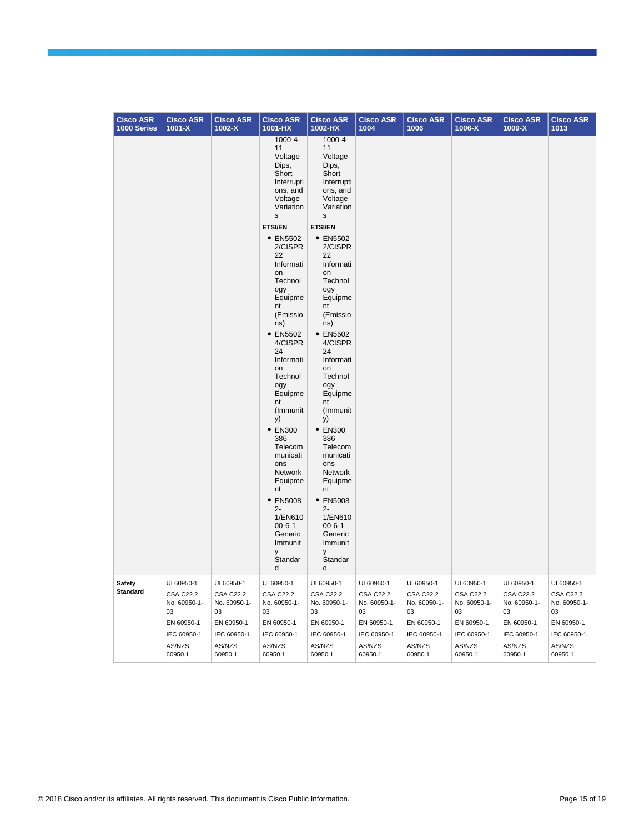| <b>Cisco ASR</b><br>1000 Series | <b>Cisco ASR</b><br>$1001 - X$                      | <b>Cisco ASR</b><br>$1002 - X$                      | <b>Cisco ASR</b><br>1001-HX                                                                                                                                                                                                                                                                                                                                    | <b>Cisco ASR</b><br>1002-HX                                                                                                                                                                                                                                                                                                                                                   | <b>Cisco ASR</b><br>1004                            | <b>Cisco ASR</b><br>1006                            | <b>Cisco ASR</b><br>1006-X                          | <b>Cisco ASR</b><br>1009-X                          | <b>Cisco ASR</b><br>1013                            |
|---------------------------------|-----------------------------------------------------|-----------------------------------------------------|----------------------------------------------------------------------------------------------------------------------------------------------------------------------------------------------------------------------------------------------------------------------------------------------------------------------------------------------------------------|-------------------------------------------------------------------------------------------------------------------------------------------------------------------------------------------------------------------------------------------------------------------------------------------------------------------------------------------------------------------------------|-----------------------------------------------------|-----------------------------------------------------|-----------------------------------------------------|-----------------------------------------------------|-----------------------------------------------------|
|                                 |                                                     |                                                     | 1000-4-<br>11<br>Voltage<br>Dips,<br>Short<br>Interrupti<br>ons, and<br>Voltage<br>Variation<br>s                                                                                                                                                                                                                                                              | 1000-4-<br>11<br>Voltage<br>Dips,<br>Short<br>Interrupti<br>ons, and<br>Voltage<br>Variation<br>s                                                                                                                                                                                                                                                                             |                                                     |                                                     |                                                     |                                                     |                                                     |
|                                 |                                                     |                                                     | <b>ETSI/EN</b>                                                                                                                                                                                                                                                                                                                                                 | <b>ETSI/EN</b>                                                                                                                                                                                                                                                                                                                                                                |                                                     |                                                     |                                                     |                                                     |                                                     |
|                                 |                                                     |                                                     | • EN5502<br>2/CISPR<br>22<br>Informati<br>on<br>Technol<br>ogy<br>Equipme<br>nt<br>(Emissio<br>ns)<br>• EN5502<br>4/CISPR<br>24<br>Informati<br>on<br>Technol<br>ogy<br>Equipme<br>nt<br>(Immunit<br>y)<br>• EN300<br>386<br>Telecom<br>municati<br>ons<br>Network<br>Equipme<br>nt<br>• EN5008<br>$2 -$<br>1/EN610<br>$00 - 6 - 1$<br>Generic<br>Immunit<br>у | • EN5502<br>2/CISPR<br>22<br>Informati<br>on<br>Technol<br>ogy<br>Equipme<br>nt<br>(Emissio<br>ns)<br>• EN5502<br>4/CISPR<br>24<br>Informati<br>on<br>Technol<br>ogy<br>Equipme<br>nt<br>(Immunit<br>y)<br>$\bullet$ EN300<br>386<br>Telecom<br>municati<br>ons<br><b>Network</b><br>Equipme<br>nt<br>• EN5008<br>$2 -$<br>1/EN610<br>$00 - 6 - 1$<br>Generic<br>Immunit<br>у |                                                     |                                                     |                                                     |                                                     |                                                     |
|                                 |                                                     |                                                     | Standar<br>d                                                                                                                                                                                                                                                                                                                                                   | Standar<br>d                                                                                                                                                                                                                                                                                                                                                                  |                                                     |                                                     |                                                     |                                                     |                                                     |
| Safety<br><b>Standard</b>       | UL60950-1<br><b>CSA C22.2</b><br>No. 60950-1-<br>03 | UL60950-1<br><b>CSA C22.2</b><br>No. 60950-1-<br>03 | UL60950-1<br><b>CSA C22.2</b><br>No. 60950-1-<br>03                                                                                                                                                                                                                                                                                                            | UL60950-1<br><b>CSA C22.2</b><br>No. 60950-1-<br>03                                                                                                                                                                                                                                                                                                                           | UL60950-1<br><b>CSA C22.2</b><br>No. 60950-1-<br>03 | UL60950-1<br><b>CSA C22.2</b><br>No. 60950-1-<br>03 | UL60950-1<br><b>CSA C22.2</b><br>No. 60950-1-<br>03 | UL60950-1<br><b>CSA C22.2</b><br>No. 60950-1-<br>03 | UL60950-1<br><b>CSA C22.2</b><br>No. 60950-1-<br>03 |
|                                 | EN 60950-1                                          | EN 60950-1                                          | EN 60950-1                                                                                                                                                                                                                                                                                                                                                     | EN 60950-1                                                                                                                                                                                                                                                                                                                                                                    | EN 60950-1                                          | EN 60950-1                                          | EN 60950-1                                          | EN 60950-1                                          | EN 60950-1                                          |
|                                 | IEC 60950-1<br>AS/NZS<br>60950.1                    | IEC 60950-1<br>AS/NZS<br>60950.1                    | IEC 60950-1<br>AS/NZS<br>60950.1                                                                                                                                                                                                                                                                                                                               | IEC 60950-1<br>AS/NZS<br>60950.1                                                                                                                                                                                                                                                                                                                                              | IEC 60950-1<br>AS/NZS<br>60950.1                    | IEC 60950-1<br>AS/NZS<br>60950.1                    | IEC 60950-1<br>AS/NZS<br>60950.1                    | IEC 60950-1<br>AS/NZS<br>60950.1                    | IEC 60950-1<br>AS/NZS<br>60950.1                    |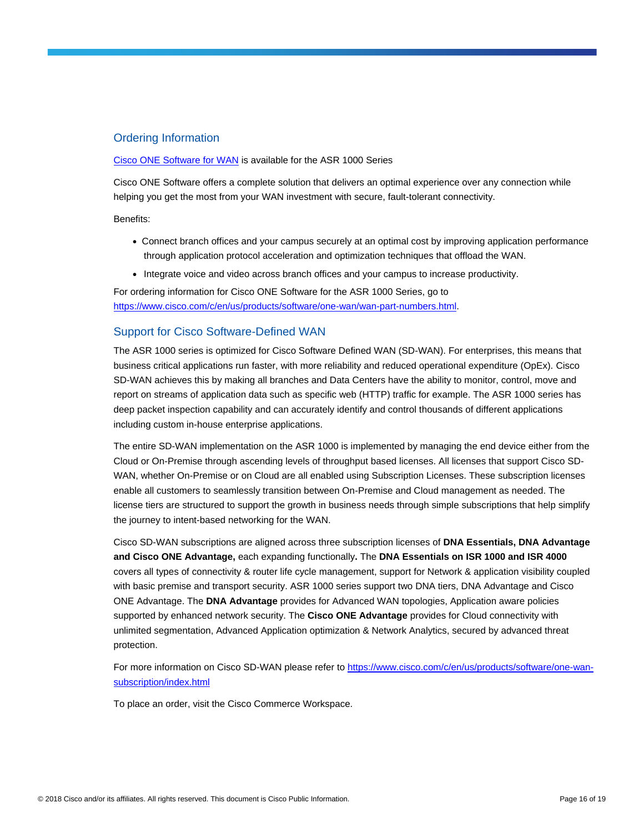## Ordering Information

#### [Cisco ONE Software for WAN](https://www.cisco.com/c/en/us/products/collateral/software/one-wan/datasheet-c78-733012.html) is available for the ASR 1000 Series

Cisco ONE Software offers a complete solution that delivers an optimal experience over any connection while helping you get the most from your WAN investment with secure, fault-tolerant connectivity.

Benefits:

- Connect branch offices and your campus securely at an optimal cost by improving application performance through application protocol acceleration and optimization techniques that offload the WAN.
- Integrate voice and video across branch offices and your campus to increase productivity.

For ordering information for Cisco ONE Software for the ASR 1000 Series, go to [https://www.cisco.com/c/en/us/products/software/one-wan/wan-part-numbers.html.](https://www.cisco.com/c/en/us/products/software/one-wan/wan-part-numbers.html)

#### Support for Cisco Software-Defined WAN

The ASR 1000 series is optimized for Cisco Software Defined WAN (SD-WAN). For enterprises, this means that business critical applications run faster, with more reliability and reduced operational expenditure (OpEx). Cisco SD-WAN achieves this by making all branches and Data Centers have the ability to monitor, control, move and report on streams of application data such as specific web (HTTP) traffic for example. The ASR 1000 series has deep packet inspection capability and can accurately identify and control thousands of different applications including custom in-house enterprise applications.

The entire SD-WAN implementation on the ASR 1000 is implemented by managing the end device either from the Cloud or On-Premise through ascending levels of throughput based licenses. All licenses that support Cisco SD-WAN, whether On-Premise or on Cloud are all enabled using Subscription Licenses. These subscription licenses enable all customers to seamlessly transition between On-Premise and Cloud management as needed. The license tiers are structured to support the growth in business needs through simple subscriptions that help simplify the journey to intent-based networking for the WAN.

Cisco SD-WAN subscriptions are aligned across three subscription licenses of **DNA Essentials, DNA Advantage and Cisco ONE Advantage,** each expanding functionally**.** The **DNA Essentials on ISR 1000 and ISR 4000** covers all types of connectivity & router life cycle management, support for Network & application visibility coupled with basic premise and transport security. ASR 1000 series support two DNA tiers, DNA Advantage and Cisco ONE Advantage. The **DNA Advantage** provides for Advanced WAN topologies, Application aware policies supported by enhanced network security. The **Cisco ONE Advantage** provides for Cloud connectivity with unlimited segmentation, Advanced Application optimization & Network Analytics, secured by advanced threat protection.

For more information on Cisco SD-WAN please refer t[o https://www.cisco.com/c/en/us/products/software/one-wan](https://www.cisco.com/c/en/us/products/software/one-wan-subscription/index.html)[subscription/index.html](https://www.cisco.com/c/en/us/products/software/one-wan-subscription/index.html)

To place an order, visit the Cisco Commerce Workspace.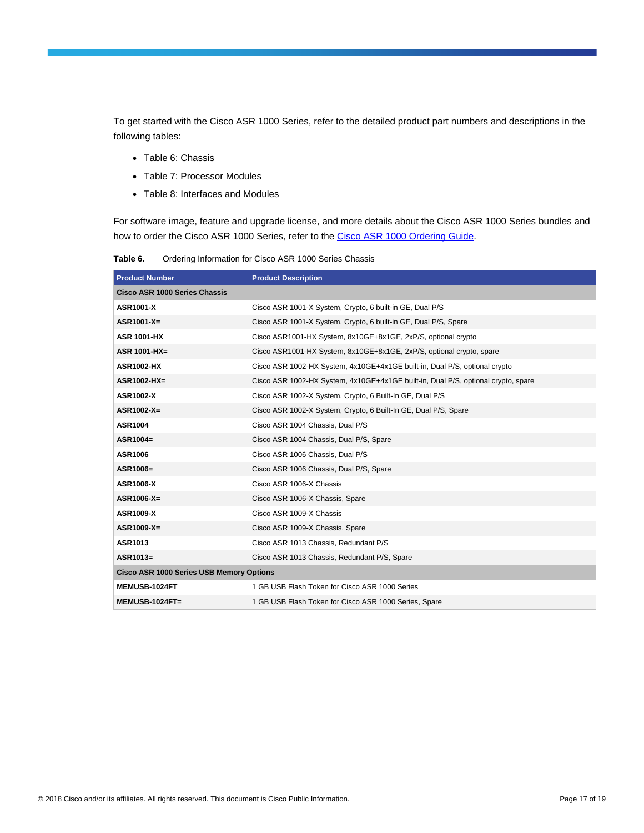To get started with the Cisco ASR 1000 Series, refer to the detailed product part numbers and descriptions in the following tables:

- Table 6: Chassis
- Table 7: Processor Modules
- Table 8: Interfaces and Modules

For software image, feature and upgrade license, and more details about the Cisco ASR 1000 Series bundles and how to order the Cisco ASR 1000 Series, refer to the [Cisco ASR 1000 Ordering Guide.](https://www.cisco.com/c/en/us/products/collateral/routers/asr-1000-series-aggregation-services-routers/product_bulletin_c07-448862.html)

**Table 6.** Ordering Information for Cisco ASR 1000 Series Chassis

| <b>Product Number</b>                           | <b>Product Description</b>                                                        |
|-------------------------------------------------|-----------------------------------------------------------------------------------|
| Cisco ASR 1000 Series Chassis                   |                                                                                   |
| <b>ASR1001-X</b>                                | Cisco ASR 1001-X System, Crypto, 6 built-in GE, Dual P/S                          |
| ASR1001-X=                                      | Cisco ASR 1001-X System, Crypto, 6 built-in GE, Dual P/S, Spare                   |
| <b>ASR 1001-HX</b>                              | Cisco ASR1001-HX System, 8x10GE+8x1GE, 2xP/S, optional crypto                     |
| <b>ASR 1001-HX=</b>                             | Cisco ASR1001-HX System, 8x10GE+8x1GE, 2xP/S, optional crypto, spare              |
| <b>ASR1002-HX</b>                               | Cisco ASR 1002-HX System, 4x10GE+4x1GE built-in, Dual P/S, optional crypto        |
| ASR1002-HX=                                     | Cisco ASR 1002-HX System, 4x10GE+4x1GE built-in, Dual P/S, optional crypto, spare |
| <b>ASR1002-X</b>                                | Cisco ASR 1002-X System, Crypto, 6 Built-In GE, Dual P/S                          |
| ASR1002-X=                                      | Cisco ASR 1002-X System, Crypto, 6 Built-In GE, Dual P/S, Spare                   |
| <b>ASR1004</b>                                  | Cisco ASR 1004 Chassis, Dual P/S                                                  |
| ASR1004=                                        | Cisco ASR 1004 Chassis, Dual P/S, Spare                                           |
| <b>ASR1006</b>                                  | Cisco ASR 1006 Chassis, Dual P/S                                                  |
| ASR1006=                                        | Cisco ASR 1006 Chassis, Dual P/S, Spare                                           |
| <b>ASR1006-X</b>                                | Cisco ASR 1006-X Chassis                                                          |
| ASR1006-X=                                      | Cisco ASR 1006-X Chassis, Spare                                                   |
| <b>ASR1009-X</b>                                | Cisco ASR 1009-X Chassis                                                          |
| ASR1009-X=                                      | Cisco ASR 1009-X Chassis, Spare                                                   |
| ASR1013                                         | Cisco ASR 1013 Chassis, Redundant P/S                                             |
| ASR1013=                                        | Cisco ASR 1013 Chassis, Redundant P/S, Spare                                      |
| <b>Cisco ASR 1000 Series USB Memory Options</b> |                                                                                   |
| MEMUSB-1024FT                                   | 1 GB USB Flash Token for Cisco ASR 1000 Series                                    |
| MEMUSB-1024FT=                                  | 1 GB USB Flash Token for Cisco ASR 1000 Series, Spare                             |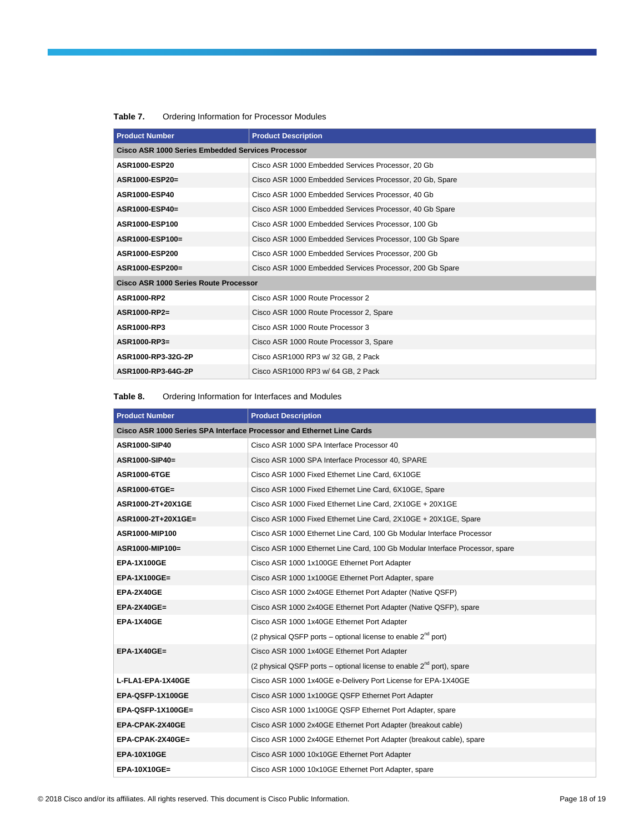| <b>Product Number</b>                             | <b>Product Description</b>                               |
|---------------------------------------------------|----------------------------------------------------------|
| Cisco ASR 1000 Series Embedded Services Processor |                                                          |
| ASR1000-ESP20                                     | Cisco ASR 1000 Embedded Services Processor, 20 Gb        |
| ASR1000-ESP20=                                    | Cisco ASR 1000 Embedded Services Processor, 20 Gb, Spare |
| ASR1000-ESP40                                     | Cisco ASR 1000 Embedded Services Processor, 40 Gb        |
| ASR1000-ESP40=                                    | Cisco ASR 1000 Embedded Services Processor, 40 Gb Spare  |
| ASR1000-ESP100                                    | Cisco ASR 1000 Embedded Services Processor, 100 Gb       |
| ASR1000-ESP100=                                   | Cisco ASR 1000 Embedded Services Processor, 100 Gb Spare |
| ASR1000-ESP200                                    | Cisco ASR 1000 Embedded Services Processor, 200 Gb       |
| ASR1000-ESP200=                                   | Cisco ASR 1000 Embedded Services Processor, 200 Gb Spare |
| Cisco ASR 1000 Series Route Processor             |                                                          |
| <b>ASR1000-RP2</b>                                | Cisco ASR 1000 Route Processor 2                         |
| ASR1000-RP2=                                      | Cisco ASR 1000 Route Processor 2, Spare                  |
| ASR1000-RP3                                       | Cisco ASR 1000 Route Processor 3                         |
| ASR1000-RP3=                                      | Cisco ASR 1000 Route Processor 3, Spare                  |
| ASR1000-RP3-32G-2P                                | Cisco ASR1000 RP3 w/ 32 GB, 2 Pack                       |
| ASR1000-RP3-64G-2P                                | Cisco ASR1000 RP3 w/ 64 GB, 2 Pack                       |

#### **Table 7.** Ordering Information for Processor Modules

**Table 8.** Ordering Information for Interfaces and Modules

| <b>Product Number</b>                                                 | <b>Product Description</b>                                                   |
|-----------------------------------------------------------------------|------------------------------------------------------------------------------|
| Cisco ASR 1000 Series SPA Interface Processor and Ethernet Line Cards |                                                                              |
| ASR1000-SIP40                                                         | Cisco ASR 1000 SPA Interface Processor 40                                    |
| ASR1000-SIP40=                                                        | Cisco ASR 1000 SPA Interface Processor 40, SPARE                             |
| <b>ASR1000-6TGE</b>                                                   | Cisco ASR 1000 Fixed Ethernet Line Card, 6X10GE                              |
| ASR1000-6TGE=                                                         | Cisco ASR 1000 Fixed Ethernet Line Card, 6X10GE, Spare                       |
| ASR1000-2T+20X1GE                                                     | Cisco ASR 1000 Fixed Ethernet Line Card, 2X10GE + 20X1GE                     |
| ASR1000-2T+20X1GE=                                                    | Cisco ASR 1000 Fixed Ethernet Line Card, 2X10GE + 20X1GE, Spare              |
| ASR1000-MIP100                                                        | Cisco ASR 1000 Ethernet Line Card, 100 Gb Modular Interface Processor        |
| ASR1000-MIP100=                                                       | Cisco ASR 1000 Ethernet Line Card, 100 Gb Modular Interface Processor, spare |
| <b>EPA-1X100GE</b>                                                    | Cisco ASR 1000 1x100GE Ethernet Port Adapter                                 |
| $EPA-1X100GE=$                                                        | Cisco ASR 1000 1x100GE Ethernet Port Adapter, spare                          |
| EPA-2X40GE                                                            | Cisco ASR 1000 2x40GE Ethernet Port Adapter (Native QSFP)                    |
| $EPA-2X40GE=$                                                         | Cisco ASR 1000 2x40GE Ethernet Port Adapter (Native QSFP), spare             |
| EPA-1X40GE                                                            | Cisco ASR 1000 1x40GE Ethernet Port Adapter                                  |
|                                                                       | (2 physical QSFP ports – optional license to enable $2^{nd}$ port)           |
| $EPA-1X40GE=$                                                         | Cisco ASR 1000 1x40GE Ethernet Port Adapter                                  |
|                                                                       | (2 physical QSFP ports – optional license to enable $2^{nd}$ port), spare    |
| L-FLA1-EPA-1X40GE                                                     | Cisco ASR 1000 1x40GE e-Delivery Port License for EPA-1X40GE                 |
| EPA-QSFP-1X100GE                                                      | Cisco ASR 1000 1x100GE QSFP Ethernet Port Adapter                            |
| EPA-QSFP-1X100GE=                                                     | Cisco ASR 1000 1x100GE QSFP Ethernet Port Adapter, spare                     |
| EPA-CPAK-2X40GE                                                       | Cisco ASR 1000 2x40GE Ethernet Port Adapter (breakout cable)                 |
| EPA-CPAK-2X40GE=                                                      | Cisco ASR 1000 2x40GE Ethernet Port Adapter (breakout cable), spare          |
| <b>EPA-10X10GE</b>                                                    | Cisco ASR 1000 10x10GE Ethernet Port Adapter                                 |
| EPA-10X10GE=                                                          | Cisco ASR 1000 10x10GE Ethernet Port Adapter, spare                          |